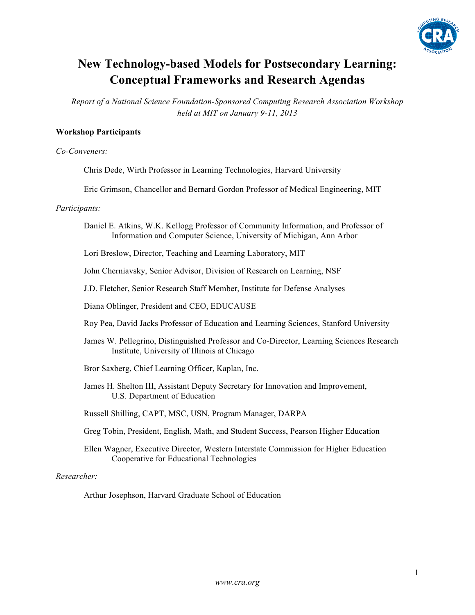

# **New Technology-based Models for Postsecondary Learning: Conceptual Frameworks and Research Agendas**

*Report of a National Science Foundation-Sponsored Computing Research Association Workshop held at MIT on January 9-11, 2013*

#### **Workshop Participants**

*Co-Conveners:*

Chris Dede, Wirth Professor in Learning Technologies, Harvard University

Eric Grimson, Chancellor and Bernard Gordon Professor of Medical Engineering, MIT

#### *Participants:*

Daniel E. Atkins, W.K. Kellogg Professor of Community Information, and Professor of Information and Computer Science, University of Michigan, Ann Arbor

Lori Breslow, Director, Teaching and Learning Laboratory, MIT

John Cherniavsky, Senior Advisor, Division of Research on Learning, NSF

J.D. Fletcher, Senior Research Staff Member, Institute for Defense Analyses

Diana Oblinger, President and CEO, EDUCAUSE

Roy Pea, David Jacks Professor of Education and Learning Sciences, Stanford University

James W. Pellegrino, Distinguished Professor and Co-Director, Learning Sciences Research Institute, University of Illinois at Chicago

Bror Saxberg, Chief Learning Officer, Kaplan, Inc.

James H. Shelton III, Assistant Deputy Secretary for Innovation and Improvement, U.S. Department of Education

Russell Shilling, CAPT, MSC, USN, Program Manager, DARPA

- Greg Tobin, President, English, Math, and Student Success, Pearson Higher Education
- Ellen Wagner, Executive Director, Western Interstate Commission for Higher Education Cooperative for Educational Technologies

*Researcher:*

Arthur Josephson, Harvard Graduate School of Education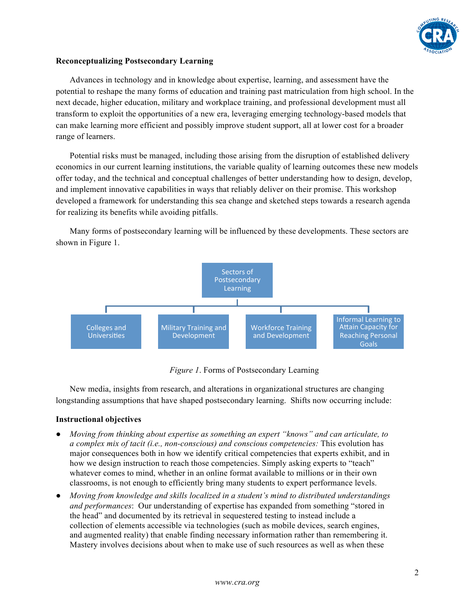

### **Reconceptualizing Postsecondary Learning**

Advances in technology and in knowledge about expertise, learning, and assessment have the potential to reshape the many forms of education and training past matriculation from high school. In the next decade, higher education, military and workplace training, and professional development must all transform to exploit the opportunities of a new era, leveraging emerging technology-based models that can make learning more efficient and possibly improve student support, all at lower cost for a broader range of learners.

Potential risks must be managed, including those arising from the disruption of established delivery economics in our current learning institutions, the variable quality of learning outcomes these new models offer today, and the technical and conceptual challenges of better understanding how to design, develop, and implement innovative capabilities in ways that reliably deliver on their promise. This workshop developed a framework for understanding this sea change and sketched steps towards a research agenda for realizing its benefits while avoiding pitfalls.



Many forms of postsecondary learning will be influenced by these developments. These sectors are shown in Figure 1.

*Figure 1*. Forms of Postsecondary Learning

New media, insights from research, and alterations in organizational structures are changing longstanding assumptions that have shaped postsecondary learning. Shifts now occurring include:

#### **Instructional objectives**

- *Moving from thinking about expertise as something an expert "knows" and can articulate, to a complex mix of tacit (i.e., non-conscious) and conscious competencies:* This evolution has major consequences both in how we identify critical competencies that experts exhibit, and in how we design instruction to reach those competencies. Simply asking experts to "teach" whatever comes to mind, whether in an online format available to millions or in their own classrooms, is not enough to efficiently bring many students to expert performance levels.
- *Moving from knowledge and skills localized in a student's mind to distributed understandings and performances*: Our understanding of expertise has expanded from something "stored in the head" and documented by its retrieval in sequestered testing to instead include a collection of elements accessible via technologies (such as mobile devices, search engines, and augmented reality) that enable finding necessary information rather than remembering it. Mastery involves decisions about when to make use of such resources as well as when these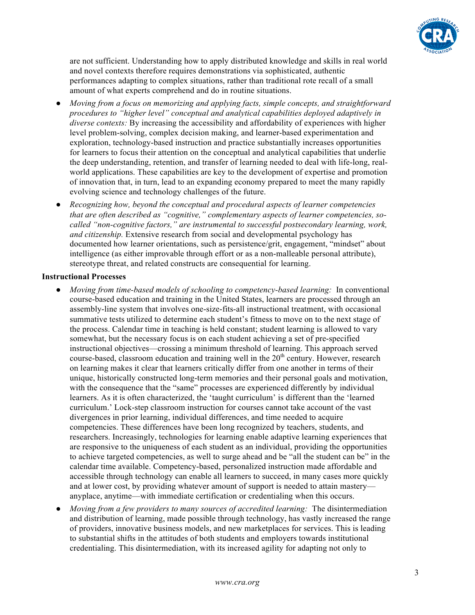

are not sufficient. Understanding how to apply distributed knowledge and skills in real world and novel contexts therefore requires demonstrations via sophisticated, authentic performances adapting to complex situations, rather than traditional rote recall of a small amount of what experts comprehend and do in routine situations.

- *Moving from a focus on memorizing and applying facts, simple concepts, and straightforward procedures to "higher level" conceptual and analytical capabilities deployed adaptively in diverse contexts:* By increasing the accessibility and affordability of experiences with higher level problem-solving, complex decision making, and learner-based experimentation and exploration, technology-based instruction and practice substantially increases opportunities for learners to focus their attention on the conceptual and analytical capabilities that underlie the deep understanding, retention, and transfer of learning needed to deal with life-long, realworld applications. These capabilities are key to the development of expertise and promotion of innovation that, in turn, lead to an expanding economy prepared to meet the many rapidly evolving science and technology challenges of the future.
- *Recognizing how, beyond the conceptual and procedural aspects of learner competencies that are often described as "cognitive," complementary aspects of learner competencies, socalled "non-cognitive factors," are instrumental to successful postsecondary learning, work, and citizenship.* Extensive research from social and developmental psychology has documented how learner orientations, such as persistence/grit, engagement, "mindset" about intelligence (as either improvable through effort or as a non-malleable personal attribute), stereotype threat, and related constructs are consequential for learning.

#### **Instructional Processes**

- *Moving from time-based models of schooling to competency-based learning:* In conventional course-based education and training in the United States, learners are processed through an assembly-line system that involves one-size-fits-all instructional treatment, with occasional summative tests utilized to determine each student's fitness to move on to the next stage of the process. Calendar time in teaching is held constant; student learning is allowed to vary somewhat, but the necessary focus is on each student achieving a set of pre-specified instructional objectives—crossing a minimum threshold of learning. This approach served course-based, classroom education and training well in the  $20<sup>th</sup>$  century. However, research on learning makes it clear that learners critically differ from one another in terms of their unique, historically constructed long-term memories and their personal goals and motivation, with the consequence that the "same" processes are experienced differently by individual learners. As it is often characterized, the 'taught curriculum' is different than the 'learned curriculum.' Lock-step classroom instruction for courses cannot take account of the vast divergences in prior learning, individual differences, and time needed to acquire competencies. These differences have been long recognized by teachers, students, and researchers. Increasingly, technologies for learning enable adaptive learning experiences that are responsive to the uniqueness of each student as an individual, providing the opportunities to achieve targeted competencies, as well to surge ahead and be "all the student can be" in the calendar time available. Competency-based, personalized instruction made affordable and accessible through technology can enable all learners to succeed, in many cases more quickly and at lower cost, by providing whatever amount of support is needed to attain mastery anyplace, anytime—with immediate certification or credentialing when this occurs.
- *Moving from a few providers to many sources of accredited learning:* The disintermediation and distribution of learning, made possible through technology, has vastly increased the range of providers, innovative business models, and new marketplaces for services. This is leading to substantial shifts in the attitudes of both students and employers towards institutional credentialing. This disintermediation, with its increased agility for adapting not only to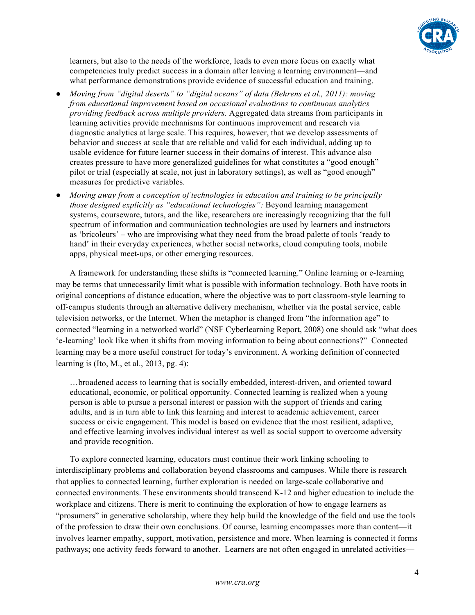

learners, but also to the needs of the workforce, leads to even more focus on exactly what competencies truly predict success in a domain after leaving a learning environment—and what performance demonstrations provide evidence of successful education and training.

- *Moving from "digital deserts" to "digital oceans" of data (Behrens et al., 2011): moving from educational improvement based on occasional evaluations to continuous analytics providing feedback across multiple providers.* Aggregated data streams from participants in learning activities provide mechanisms for continuous improvement and research via diagnostic analytics at large scale. This requires, however, that we develop assessments of behavior and success at scale that are reliable and valid for each individual, adding up to usable evidence for future learner success in their domains of interest. This advance also creates pressure to have more generalized guidelines for what constitutes a "good enough" pilot or trial (especially at scale, not just in laboratory settings), as well as "good enough" measures for predictive variables.
- *Moving away from a conception of technologies in education and training to be principally those designed explicitly as "educational technologies":* Beyond learning management systems, courseware, tutors, and the like, researchers are increasingly recognizing that the full spectrum of information and communication technologies are used by learners and instructors as 'bricoleurs' – who are improvising what they need from the broad palette of tools 'ready to hand' in their everyday experiences, whether social networks, cloud computing tools, mobile apps, physical meet-ups, or other emerging resources.

A framework for understanding these shifts is "connected learning." Online learning or e-learning may be terms that unnecessarily limit what is possible with information technology. Both have roots in original conceptions of distance education, where the objective was to port classroom-style learning to off-campus students through an alternative delivery mechanism, whether via the postal service, cable television networks, or the Internet. When the metaphor is changed from "the information age" to connected "learning in a networked world" (NSF Cyberlearning Report, 2008) one should ask "what does 'e-learning' look like when it shifts from moving information to being about connections?" Connected learning may be a more useful construct for today's environment. A working definition of connected learning is (Ito, M., et al., 2013, pg. 4):

…broadened access to learning that is socially embedded, interest-driven, and oriented toward educational, economic, or political opportunity. Connected learning is realized when a young person is able to pursue a personal interest or passion with the support of friends and caring adults, and is in turn able to link this learning and interest to academic achievement, career success or civic engagement. This model is based on evidence that the most resilient, adaptive, and effective learning involves individual interest as well as social support to overcome adversity and provide recognition.

To explore connected learning, educators must continue their work linking schooling to interdisciplinary problems and collaboration beyond classrooms and campuses. While there is research that applies to connected learning, further exploration is needed on large-scale collaborative and connected environments. These environments should transcend K-12 and higher education to include the workplace and citizens. There is merit to continuing the exploration of how to engage learners as "prosumers" in generative scholarship, where they help build the knowledge of the field and use the tools of the profession to draw their own conclusions. Of course, learning encompasses more than content—it involves learner empathy, support, motivation, persistence and more. When learning is connected it forms pathways; one activity feeds forward to another. Learners are not often engaged in unrelated activities—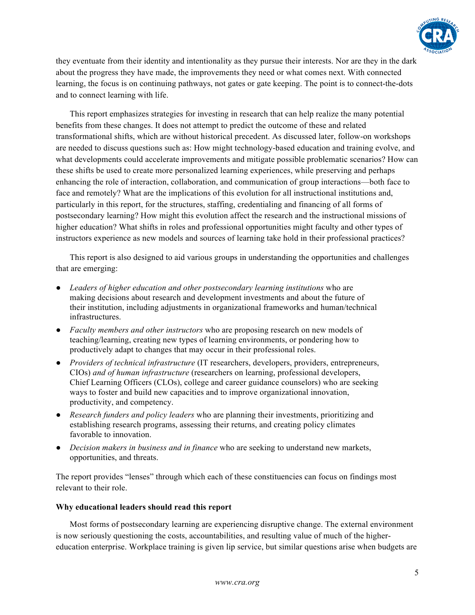

they eventuate from their identity and intentionality as they pursue their interests. Nor are they in the dark about the progress they have made, the improvements they need or what comes next. With connected learning, the focus is on continuing pathways, not gates or gate keeping. The point is to connect-the-dots and to connect learning with life.

This report emphasizes strategies for investing in research that can help realize the many potential benefits from these changes. It does not attempt to predict the outcome of these and related transformational shifts, which are without historical precedent. As discussed later, follow-on workshops are needed to discuss questions such as: How might technology-based education and training evolve, and what developments could accelerate improvements and mitigate possible problematic scenarios? How can these shifts be used to create more personalized learning experiences, while preserving and perhaps enhancing the role of interaction, collaboration, and communication of group interactions—both face to face and remotely? What are the implications of this evolution for all instructional institutions and, particularly in this report, for the structures, staffing, credentialing and financing of all forms of postsecondary learning? How might this evolution affect the research and the instructional missions of higher education? What shifts in roles and professional opportunities might faculty and other types of instructors experience as new models and sources of learning take hold in their professional practices?

This report is also designed to aid various groups in understanding the opportunities and challenges that are emerging:

- *Leaders of higher education and other postsecondary learning institutions* who are making decisions about research and development investments and about the future of their institution, including adjustments in organizational frameworks and human/technical infrastructures.
- *Faculty members and other instructors* who are proposing research on new models of teaching/learning, creating new types of learning environments, or pondering how to productively adapt to changes that may occur in their professional roles.
- *Providers of technical infrastructure* (IT researchers, developers, providers, entrepreneurs, CIOs) *and of human infrastructure* (researchers on learning, professional developers, Chief Learning Officers (CLOs), college and career guidance counselors) who are seeking ways to foster and build new capacities and to improve organizational innovation, productivity, and competency.
- *Research funders and policy leaders* who are planning their investments, prioritizing and establishing research programs, assessing their returns, and creating policy climates favorable to innovation.
- *Decision makers in business and in finance* who are seeking to understand new markets, opportunities, and threats.

The report provides "lenses" through which each of these constituencies can focus on findings most relevant to their role.

#### **Why educational leaders should read this report**

Most forms of postsecondary learning are experiencing disruptive change. The external environment is now seriously questioning the costs, accountabilities, and resulting value of much of the highereducation enterprise. Workplace training is given lip service, but similar questions arise when budgets are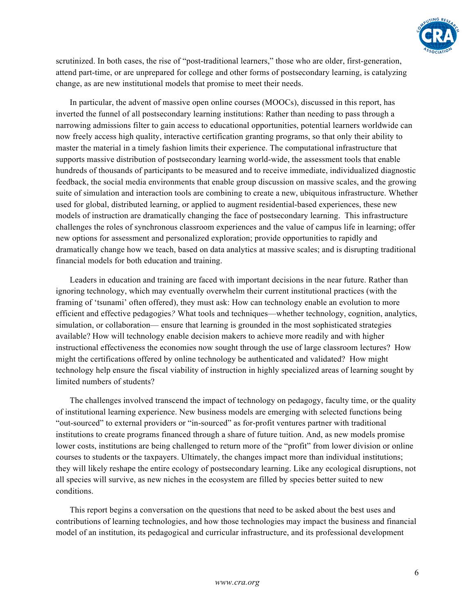

scrutinized. In both cases, the rise of "post-traditional learners," those who are older, first-generation, attend part-time, or are unprepared for college and other forms of postsecondary learning, is catalyzing change, as are new institutional models that promise to meet their needs.

In particular, the advent of massive open online courses (MOOCs), discussed in this report, has inverted the funnel of all postsecondary learning institutions: Rather than needing to pass through a narrowing admissions filter to gain access to educational opportunities, potential learners worldwide can now freely access high quality, interactive certification granting programs, so that only their ability to master the material in a timely fashion limits their experience. The computational infrastructure that supports massive distribution of postsecondary learning world-wide, the assessment tools that enable hundreds of thousands of participants to be measured and to receive immediate, individualized diagnostic feedback, the social media environments that enable group discussion on massive scales, and the growing suite of simulation and interaction tools are combining to create a new, ubiquitous infrastructure. Whether used for global, distributed learning, or applied to augment residential-based experiences, these new models of instruction are dramatically changing the face of postsecondary learning. This infrastructure challenges the roles of synchronous classroom experiences and the value of campus life in learning; offer new options for assessment and personalized exploration; provide opportunities to rapidly and dramatically change how we teach, based on data analytics at massive scales; and is disrupting traditional financial models for both education and training.

Leaders in education and training are faced with important decisions in the near future. Rather than ignoring technology, which may eventually overwhelm their current institutional practices (with the framing of 'tsunami' often offered), they must ask: How can technology enable an evolution to more efficient and effective pedagogies*?* What tools and techniques—whether technology, cognition, analytics, simulation, or collaboration— ensure that learning is grounded in the most sophisticated strategies available? How will technology enable decision makers to achieve more readily and with higher instructional effectiveness the economies now sought through the use of large classroom lectures? How might the certifications offered by online technology be authenticated and validated? How might technology help ensure the fiscal viability of instruction in highly specialized areas of learning sought by limited numbers of students?

The challenges involved transcend the impact of technology on pedagogy, faculty time, or the quality of institutional learning experience. New business models are emerging with selected functions being "out-sourced" to external providers or "in-sourced" as for-profit ventures partner with traditional institutions to create programs financed through a share of future tuition. And, as new models promise lower costs, institutions are being challenged to return more of the "profit" from lower division or online courses to students or the taxpayers. Ultimately, the changes impact more than individual institutions; they will likely reshape the entire ecology of postsecondary learning. Like any ecological disruptions, not all species will survive, as new niches in the ecosystem are filled by species better suited to new conditions.

This report begins a conversation on the questions that need to be asked about the best uses and contributions of learning technologies, and how those technologies may impact the business and financial model of an institution, its pedagogical and curricular infrastructure, and its professional development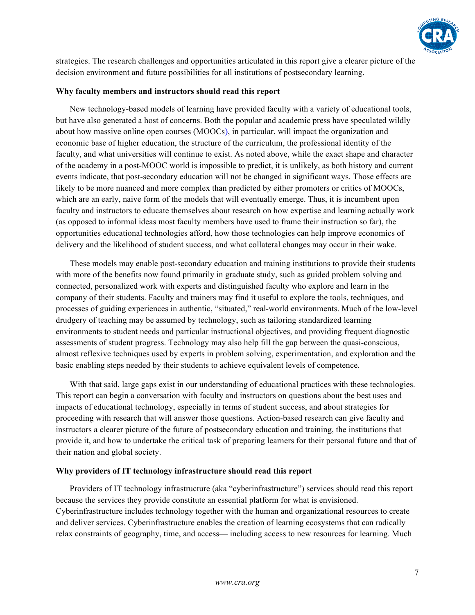

strategies. The research challenges and opportunities articulated in this report give a clearer picture of the decision environment and future possibilities for all institutions of postsecondary learning.

#### **Why faculty members and instructors should read this report**

New technology-based models of learning have provided faculty with a variety of educational tools, but have also generated a host of concerns. Both the popular and academic press have speculated wildly about how massive online open courses (MOOCs), in particular, will impact the organization and economic base of higher education, the structure of the curriculum, the professional identity of the faculty, and what universities will continue to exist. As noted above, while the exact shape and character of the academy in a post-MOOC world is impossible to predict, it is unlikely, as both history and current events indicate, that post-secondary education will not be changed in significant ways. Those effects are likely to be more nuanced and more complex than predicted by either promoters or critics of MOOCs, which are an early, naive form of the models that will eventually emerge. Thus, it is incumbent upon faculty and instructors to educate themselves about research on how expertise and learning actually work (as opposed to informal ideas most faculty members have used to frame their instruction so far), the opportunities educational technologies afford, how those technologies can help improve economics of delivery and the likelihood of student success, and what collateral changes may occur in their wake.

These models may enable post-secondary education and training institutions to provide their students with more of the benefits now found primarily in graduate study, such as guided problem solving and connected, personalized work with experts and distinguished faculty who explore and learn in the company of their students. Faculty and trainers may find it useful to explore the tools, techniques, and processes of guiding experiences in authentic, "situated," real-world environments. Much of the low-level drudgery of teaching may be assumed by technology, such as tailoring standardized learning environments to student needs and particular instructional objectives, and providing frequent diagnostic assessments of student progress. Technology may also help fill the gap between the quasi-conscious, almost reflexive techniques used by experts in problem solving, experimentation, and exploration and the basic enabling steps needed by their students to achieve equivalent levels of competence.

With that said, large gaps exist in our understanding of educational practices with these technologies. This report can begin a conversation with faculty and instructors on questions about the best uses and impacts of educational technology, especially in terms of student success, and about strategies for proceeding with research that will answer those questions. Action-based research can give faculty and instructors a clearer picture of the future of postsecondary education and training, the institutions that provide it, and how to undertake the critical task of preparing learners for their personal future and that of their nation and global society.

#### **Why providers of IT technology infrastructure should read this report**

Providers of IT technology infrastructure (aka "cyberinfrastructure") services should read this report because the services they provide constitute an essential platform for what is envisioned. Cyberinfrastructure includes technology together with the human and organizational resources to create and deliver services. Cyberinfrastructure enables the creation of learning ecosystems that can radically relax constraints of geography, time, and access— including access to new resources for learning. Much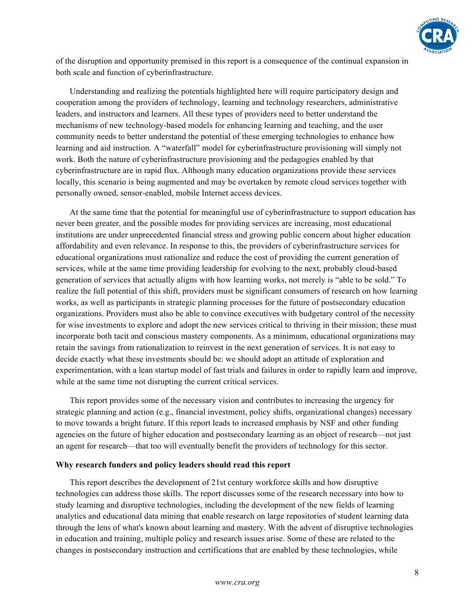

of the disruption and opportunity premised in this report is a consequence of the continual expansion in both scale and function of cyberinfrastructure.

Understanding and realizing the potentials highlighted here will require participatory design and cooperation among the providers of technology, learning and technology researchers, administrative leaders, and instructors and learners. All these types of providers need to better understand the mechanisms of new technology-based models for enhancing learning and teaching, and the user community needs to better understand the potential of these emerging technologies to enhance how learning and aid instruction. A "waterfall" model for cyberinfrastructure provisioning will simply not work. Both the nature of cyberinfrastructure provisioning and the pedagogies enabled by that cyberinfrastructure are in rapid flux. Although many education organizations provide these services locally, this scenario is being augmented and may be overtaken by remote cloud services together with personally owned, sensor-enabled, mobile Internet access devices.

At the same time that the potential for meaningful use of cyberinfrastructure to support education has never been greater, and the possible modes for providing services are increasing, most educational institutions are under unprecedented financial stress and growing public concern about higher education affordability and even relevance. In response to this, the providers of cyberinfrastructure services for educational organizations must rationalize and reduce the cost of providing the current generation of services, while at the same time providing leadership for evolving to the next, probably cloud-based generation of services that actually aligns with how learning works, not merely is "able to be sold." To realize the full potential of this shift, providers must be significant consumers of research on how learning works, as well as participants in strategic planning processes for the future of postsecondary education organizations. Providers must also be able to convince executives with budgetary control of the necessity for wise investments to explore and adopt the new services critical to thriving in their mission; these must incorporate both tacit and conscious mastery components. As a minimum, educational organizations may retain the savings from rationalization to reinvest in the next generation of services. It is not easy to decide exactly what these investments should be: we should adopt an attitude of exploration and experimentation, with a lean startup model of fast trials and failures in order to rapidly learn and improve, while at the same time not disrupting the current critical services.

This report provides some of the necessary vision and contributes to increasing the urgency for strategic planning and action (e.g., financial investment, policy shifts, organizational changes) necessary to move towards a bright future. If this report leads to increased emphasis by NSF and other funding agencies on the future of higher education and postsecondary learning as an object of research—not just an agent for research—that too will eventually benefit the providers of technology for this sector.

#### **Why research funders and policy leaders should read this report**

This report describes the development of 21st century workforce skills and how disruptive technologies can address those skills. The report discusses some of the research necessary into how to study learning and disruptive technologies, including the development of the new fields of learning analytics and educational data mining that enable research on large repositories of student learning data through the lens of what's known about learning and mastery. With the advent of disruptive technologies in education and training, multiple policy and research issues arise. Some of these are related to the changes in postsecondary instruction and certifications that are enabled by these technologies, while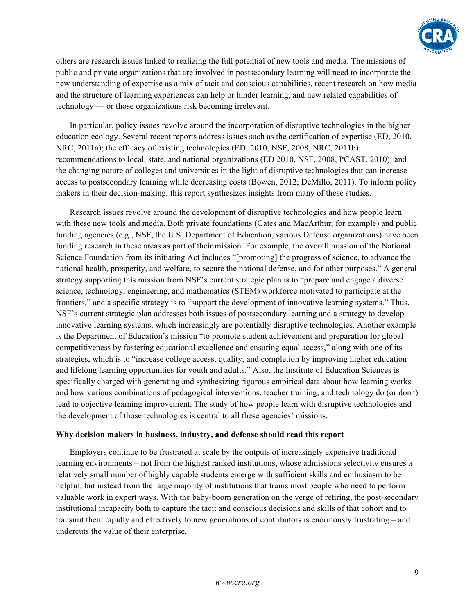

others are research issues linked to realizing the full potential of new tools and media. The missions of public and private organizations that are involved in postsecondary learning will need to incorporate the new understanding of expertise as a mix of tacit and conscious capabilities, recent research on how media and the structure of learning experiences can help or hinder learning, and new related capabilities of technology — or those organizations risk becoming irrelevant.

In particular, policy issues revolve around the incorporation of disruptive technologies in the higher education ecology. Several recent reports address issues such as the certification of expertise (ED, 2010, NRC, 2011a); the efficacy of existing technologies (ED, 2010, NSF, 2008, NRC, 2011b); recommendations to local, state, and national organizations (ED 2010, NSF, 2008, PCAST, 2010); and the changing nature of colleges and universities in the light of disruptive technologies that can increase access to postsecondary learning while decreasing costs (Bowen, 2012; DeMillo, 2011). To inform policy makers in their decision-making, this report synthesizes insights from many of these studies.

Research issues revolve around the development of disruptive technologies and how people learn with these new tools and media. Both private foundations (Gates and MacArthur, for example) and public funding agencies (e.g., NSF, the U.S. Department of Education, various Defense organizations) have been funding research in these areas as part of their mission. For example, the overall mission of the National Science Foundation from its initiating Act includes "[promoting] the progress of science, to advance the national health, prosperity, and welfare, to secure the national defense, and for other purposes." A general strategy supporting this mission from NSF's current strategic plan is to "prepare and engage a diverse science, technology, engineering, and mathematics (STEM) workforce motivated to participate at the frontiers," and a specific strategy is to "support the development of innovative learning systems." Thus, NSF's current strategic plan addresses both issues of postsecondary learning and a strategy to develop innovative learning systems, which increasingly are potentially disruptive technologies. Another example is the Department of Education's mission "to promote student achievement and preparation for global competitiveness by fostering educational excellence and ensuring equal access," along with one of its strategies, which is to "increase college access, quality, and completion by improving higher education and lifelong learning opportunities for youth and adults." Also, the Institute of Education Sciences is specifically charged with generating and synthesizing rigorous empirical data about how learning works and how various combinations of pedagogical interventions, teacher training, and technology do (or don't) lead to objective learning improvement. The study of how people learn with disruptive technologies and the development of those technologies is central to all these agencies' missions.

#### **Why decision makers in business, industry, and defense should read this report**

Employers continue to be frustrated at scale by the outputs of increasingly expensive traditional learning environments – not from the highest ranked institutions, whose admissions selectivity ensures a relatively small number of highly capable students emerge with sufficient skills and enthusiasm to be helpful, but instead from the large majority of institutions that trains most people who need to perform valuable work in expert ways. With the baby-boom generation on the verge of retiring, the post-secondary institutional incapacity both to capture the tacit and conscious decisions and skills of that cohort and to transmit them rapidly and effectively to new generations of contributors is enormously frustrating – and undercuts the value of their enterprise.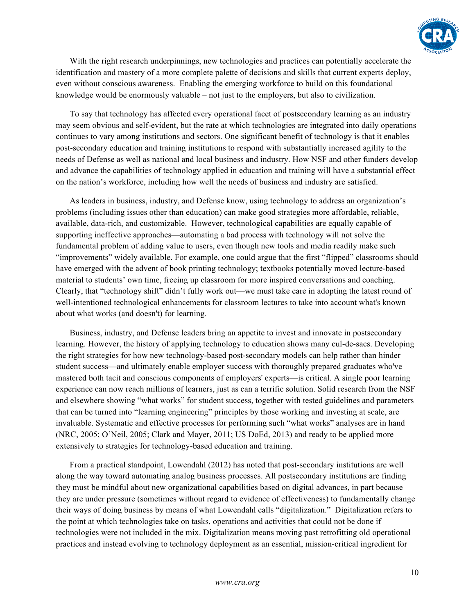

With the right research underpinnings, new technologies and practices can potentially accelerate the identification and mastery of a more complete palette of decisions and skills that current experts deploy, even without conscious awareness. Enabling the emerging workforce to build on this foundational knowledge would be enormously valuable – not just to the employers, but also to civilization.

To say that technology has affected every operational facet of postsecondary learning as an industry may seem obvious and self-evident, but the rate at which technologies are integrated into daily operations continues to vary among institutions and sectors. One significant benefit of technology is that it enables post-secondary education and training institutions to respond with substantially increased agility to the needs of Defense as well as national and local business and industry. How NSF and other funders develop and advance the capabilities of technology applied in education and training will have a substantial effect on the nation's workforce, including how well the needs of business and industry are satisfied.

As leaders in business, industry, and Defense know, using technology to address an organization's problems (including issues other than education) can make good strategies more affordable, reliable, available, data-rich, and customizable. However, technological capabilities are equally capable of supporting ineffective approaches—automating a bad process with technology will not solve the fundamental problem of adding value to users, even though new tools and media readily make such "improvements" widely available. For example, one could argue that the first "flipped" classrooms should have emerged with the advent of book printing technology; textbooks potentially moved lecture-based material to students' own time, freeing up classroom for more inspired conversations and coaching. Clearly, that "technology shift" didn't fully work out—we must take care in adopting the latest round of well-intentioned technological enhancements for classroom lectures to take into account what's known about what works (and doesn't) for learning.

Business, industry, and Defense leaders bring an appetite to invest and innovate in postsecondary learning. However, the history of applying technology to education shows many cul-de-sacs. Developing the right strategies for how new technology-based post-secondary models can help rather than hinder student success—and ultimately enable employer success with thoroughly prepared graduates who've mastered both tacit and conscious components of employers' experts—is critical. A single poor learning experience can now reach millions of learners, just as can a terrific solution. Solid research from the NSF and elsewhere showing "what works" for student success, together with tested guidelines and parameters that can be turned into "learning engineering" principles by those working and investing at scale, are invaluable. Systematic and effective processes for performing such "what works" analyses are in hand (NRC, 2005; O'Neil, 2005; Clark and Mayer, 2011; US DoEd, 2013) and ready to be applied more extensively to strategies for technology-based education and training.

From a practical standpoint, Lowendahl (2012) has noted that post-secondary institutions are well along the way toward automating analog business processes. All postsecondary institutions are finding they must be mindful about new organizational capabilities based on digital advances, in part because they are under pressure (sometimes without regard to evidence of effectiveness) to fundamentally change their ways of doing business by means of what Lowendahl calls "digitalization." Digitalization refers to the point at which technologies take on tasks, operations and activities that could not be done if technologies were not included in the mix. Digitalization means moving past retrofitting old operational practices and instead evolving to technology deployment as an essential, mission-critical ingredient for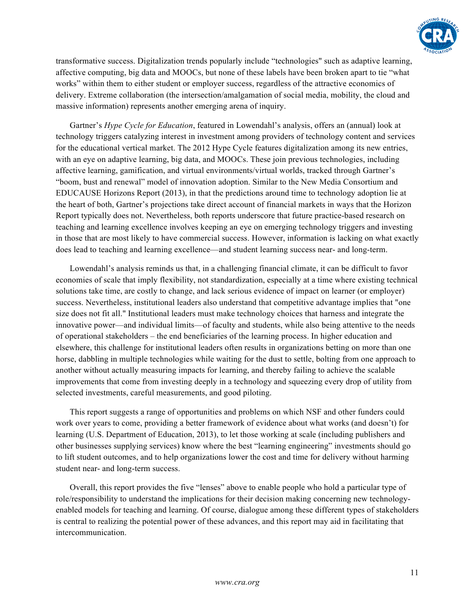

transformative success. Digitalization trends popularly include "technologies" such as adaptive learning, affective computing, big data and MOOCs, but none of these labels have been broken apart to tie "what works" within them to either student or employer success, regardless of the attractive economics of delivery. Extreme collaboration (the intersection/amalgamation of social media, mobility, the cloud and massive information) represents another emerging arena of inquiry.

Gartner's *Hype Cycle for Education*, featured in Lowendahl's analysis, offers an (annual) look at technology triggers catalyzing interest in investment among providers of technology content and services for the educational vertical market. The 2012 Hype Cycle features digitalization among its new entries, with an eye on adaptive learning, big data, and MOOCs. These join previous technologies, including affective learning, gamification, and virtual environments/virtual worlds, tracked through Gartner's "boom, bust and renewal" model of innovation adoption. Similar to the New Media Consortium and EDUCAUSE Horizons Report (2013), in that the predictions around time to technology adoption lie at the heart of both, Gartner's projections take direct account of financial markets in ways that the Horizon Report typically does not. Nevertheless, both reports underscore that future practice-based research on teaching and learning excellence involves keeping an eye on emerging technology triggers and investing in those that are most likely to have commercial success. However, information is lacking on what exactly does lead to teaching and learning excellence—and student learning success near- and long-term.

Lowendahl's analysis reminds us that, in a challenging financial climate, it can be difficult to favor economies of scale that imply flexibility, not standardization, especially at a time where existing technical solutions take time, are costly to change, and lack serious evidence of impact on learner (or employer) success. Nevertheless, institutional leaders also understand that competitive advantage implies that "one size does not fit all." Institutional leaders must make technology choices that harness and integrate the innovative power—and individual limits—of faculty and students, while also being attentive to the needs of operational stakeholders – the end beneficiaries of the learning process. In higher education and elsewhere, this challenge for institutional leaders often results in organizations betting on more than one horse, dabbling in multiple technologies while waiting for the dust to settle, bolting from one approach to another without actually measuring impacts for learning, and thereby failing to achieve the scalable improvements that come from investing deeply in a technology and squeezing every drop of utility from selected investments, careful measurements, and good piloting.

This report suggests a range of opportunities and problems on which NSF and other funders could work over years to come, providing a better framework of evidence about what works (and doesn't) for learning (U.S. Department of Education, 2013), to let those working at scale (including publishers and other businesses supplying services) know where the best "learning engineering" investments should go to lift student outcomes, and to help organizations lower the cost and time for delivery without harming student near- and long-term success.

Overall, this report provides the five "lenses" above to enable people who hold a particular type of role/responsibility to understand the implications for their decision making concerning new technologyenabled models for teaching and learning. Of course, dialogue among these different types of stakeholders is central to realizing the potential power of these advances, and this report may aid in facilitating that intercommunication.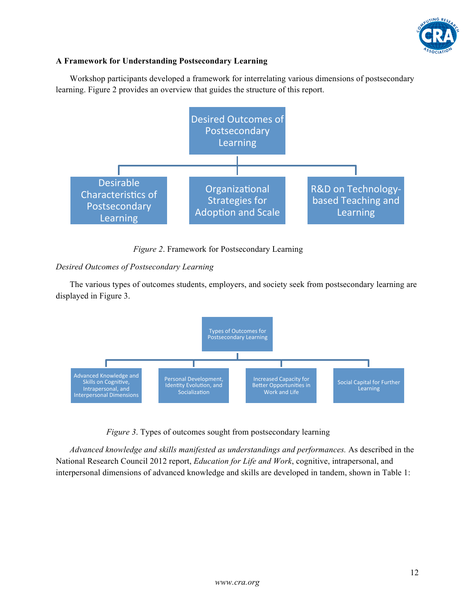

# **A Framework for Understanding Postsecondary Learning**

Workshop participants developed a framework for interrelating various dimensions of postsecondary learning. Figure 2 provides an overview that guides the structure of this report.



*Figure 2*. Framework for Postsecondary Learning

# *Desired Outcomes of Postsecondary Learning*

The various types of outcomes students, employers, and society seek from postsecondary learning are displayed in Figure 3.



*Figure 3*. Types of outcomes sought from postsecondary learning

*Advanced knowledge and skills manifested as understandings and performances.* As described in the National Research Council 2012 report, *Education for Life and Work*, cognitive, intrapersonal, and interpersonal dimensions of advanced knowledge and skills are developed in tandem, shown in Table 1: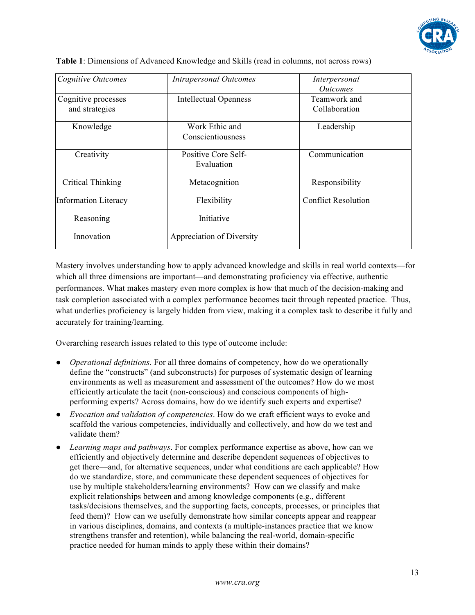

| <b>Cognitive Outcomes</b>             | <b>Intrapersonal Outcomes</b>       | Interpersonal                                    |
|---------------------------------------|-------------------------------------|--------------------------------------------------|
| Cognitive processes<br>and strategies | <b>Intellectual Openness</b>        | <i>Outcomes</i><br>Teamwork and<br>Collaboration |
| Knowledge                             | Work Ethic and<br>Conscientiousness | Leadership                                       |
| Creativity                            | Positive Core Self-<br>Evaluation   | Communication                                    |
| Critical Thinking                     | Metacognition                       | Responsibility                                   |
| <b>Information Literacy</b>           | Flexibility                         | <b>Conflict Resolution</b>                       |
| Reasoning                             | Initiative                          |                                                  |
| Innovation                            | Appreciation of Diversity           |                                                  |

**Table 1**: Dimensions of Advanced Knowledge and Skills (read in columns, not across rows)

Mastery involves understanding how to apply advanced knowledge and skills in real world contexts—for which all three dimensions are important—and demonstrating proficiency via effective, authentic performances. What makes mastery even more complex is how that much of the decision-making and task completion associated with a complex performance becomes tacit through repeated practice. Thus, what underlies proficiency is largely hidden from view, making it a complex task to describe it fully and accurately for training/learning.

Overarching research issues related to this type of outcome include:

- *Operational definitions*. For all three domains of competency, how do we operationally define the "constructs" (and subconstructs) for purposes of systematic design of learning environments as well as measurement and assessment of the outcomes? How do we most efficiently articulate the tacit (non-conscious) and conscious components of highperforming experts? Across domains, how do we identify such experts and expertise?
- *Evocation and validation of competencies*. How do we craft efficient ways to evoke and scaffold the various competencies, individually and collectively, and how do we test and validate them?
- *Learning maps and pathways*. For complex performance expertise as above, how can we efficiently and objectively determine and describe dependent sequences of objectives to get there—and, for alternative sequences, under what conditions are each applicable? How do we standardize, store, and communicate these dependent sequences of objectives for use by multiple stakeholders/learning environments? How can we classify and make explicit relationships between and among knowledge components (e.g., different tasks/decisions themselves, and the supporting facts, concepts, processes, or principles that feed them)? How can we usefully demonstrate how similar concepts appear and reappear in various disciplines, domains, and contexts (a multiple-instances practice that we know strengthens transfer and retention), while balancing the real-world, domain-specific practice needed for human minds to apply these within their domains?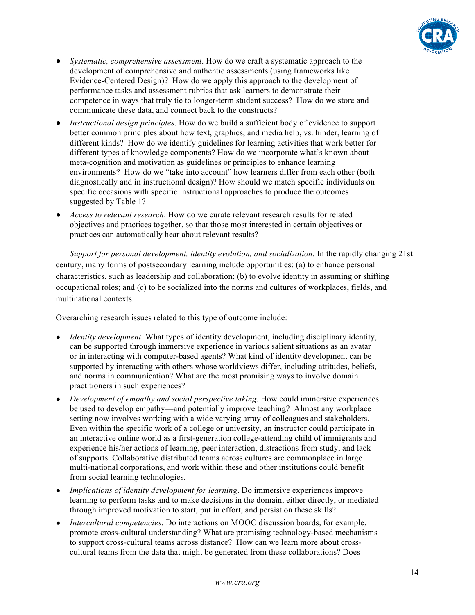

- *Systematic, comprehensive assessment*. How do we craft a systematic approach to the development of comprehensive and authentic assessments (using frameworks like Evidence-Centered Design)? How do we apply this approach to the development of performance tasks and assessment rubrics that ask learners to demonstrate their competence in ways that truly tie to longer-term student success? How do we store and communicate these data, and connect back to the constructs?
- *Instructional design principles.* How do we build a sufficient body of evidence to support better common principles about how text, graphics, and media help, vs. hinder, learning of different kinds? How do we identify guidelines for learning activities that work better for different types of knowledge components? How do we incorporate what's known about meta-cognition and motivation as guidelines or principles to enhance learning environments? How do we "take into account" how learners differ from each other (both diagnostically and in instructional design)? How should we match specific individuals on specific occasions with specific instructional approaches to produce the outcomes suggested by Table 1?
- *Access to relevant research*. How do we curate relevant research results for related objectives and practices together, so that those most interested in certain objectives or practices can automatically hear about relevant results?

*Support for personal development, identity evolution, and socialization*. In the rapidly changing 21st century, many forms of postsecondary learning include opportunities: (a) to enhance personal characteristics, such as leadership and collaboration; (b) to evolve identity in assuming or shifting occupational roles; and (c) to be socialized into the norms and cultures of workplaces, fields, and multinational contexts.

Overarching research issues related to this type of outcome include:

- *Identity development*. What types of identity development, including disciplinary identity, can be supported through immersive experience in various salient situations as an avatar or in interacting with computer-based agents? What kind of identity development can be supported by interacting with others whose worldviews differ, including attitudes, beliefs, and norms in communication? What are the most promising ways to involve domain practitioners in such experiences?
- *Development of empathy and social perspective taking*. How could immersive experiences be used to develop empathy—and potentially improve teaching? Almost any workplace setting now involves working with a wide varying array of colleagues and stakeholders. Even within the specific work of a college or university, an instructor could participate in an interactive online world as a first-generation college-attending child of immigrants and experience his/her actions of learning, peer interaction, distractions from study, and lack of supports. Collaborative distributed teams across cultures are commonplace in large multi-national corporations, and work within these and other institutions could benefit from social learning technologies.
- *Implications of identity development for learning*. Do immersive experiences improve learning to perform tasks and to make decisions in the domain, either directly, or mediated through improved motivation to start, put in effort, and persist on these skills?
- *Intercultural competencies*. Do interactions on MOOC discussion boards, for example, promote cross-cultural understanding? What are promising technology-based mechanisms to support cross-cultural teams across distance? How can we learn more about crosscultural teams from the data that might be generated from these collaborations? Does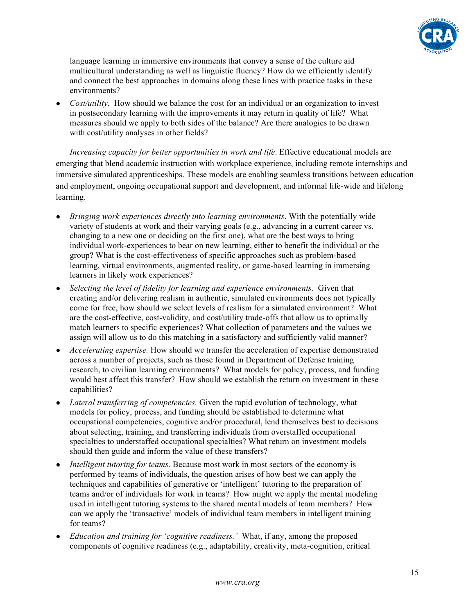

language learning in immersive environments that convey a sense of the culture aid multicultural understanding as well as linguistic fluency? How do we efficiently identify and connect the best approaches in domains along these lines with practice tasks in these environments?

• *Cost/utility*. How should we balance the cost for an individual or an organization to invest in postsecondary learning with the improvements it may return in quality of life? What measures should we apply to both sides of the balance? Are there analogies to be drawn with cost/utility analyses in other fields?

*Increasing capacity for better opportunities in work and life*. Effective educational models are emerging that blend academic instruction with workplace experience, including remote internships and immersive simulated apprenticeships. These models are enabling seamless transitions between education and employment, ongoing occupational support and development, and informal life-wide and lifelong learning.

- *Bringing work experiences directly into learning environments*. With the potentially wide variety of students at work and their varying goals (e.g., advancing in a current career vs. changing to a new one or deciding on the first one), what are the best ways to bring individual work-experiences to bear on new learning, either to benefit the individual or the group? What is the cost-effectiveness of specific approaches such as problem-based learning, virtual environments, augmented reality, or game-based learning in immersing learners in likely work experiences?
- Selecting the level of fidelity for learning and experience environments. Given that creating and/or delivering realism in authentic, simulated environments does not typically come for free, how should we select levels of realism for a simulated environment? What are the cost-effective, cost-validity, and cost/utility trade-offs that allow us to optimally match learners to specific experiences? What collection of parameters and the values we assign will allow us to do this matching in a satisfactory and sufficiently valid manner?
- Accelerating expertise. How should we transfer the acceleration of expertise demonstrated across a number of projects, such as those found in Department of Defense training research, to civilian learning environments? What models for policy, process, and funding would best affect this transfer? How should we establish the return on investment in these capabilities?
- *Lateral transferring of competencies.* Given the rapid evolution of technology, what models for policy, process, and funding should be established to determine what occupational competencies, cognitive and/or procedural, lend themselves best to decisions about selecting, training, and transferring individuals from overstaffed occupational specialties to understaffed occupational specialties? What return on investment models should then guide and inform the value of these transfers?
- *Intelligent tutoring for teams.* Because most work in most sectors of the economy is performed by teams of individuals, the question arises of how best we can apply the techniques and capabilities of generative or 'intelligent' tutoring to the preparation of teams and/or of individuals for work in teams? How might we apply the mental modeling used in intelligent tutoring systems to the shared mental models of team members? How can we apply the 'transactive' models of individual team members in intelligent training for teams?
- *Education and training for 'cognitive readiness.'* What, if any, among the proposed components of cognitive readiness (e.g., adaptability, creativity, meta-cognition, critical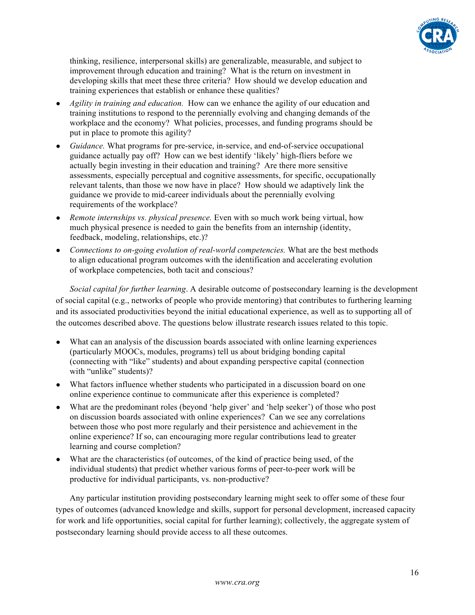

thinking, resilience, interpersonal skills) are generalizable, measurable, and subject to improvement through education and training? What is the return on investment in developing skills that meet these three criteria? How should we develop education and training experiences that establish or enhance these qualities?

- *Agility in training and education.* How can we enhance the agility of our education and training institutions to respond to the perennially evolving and changing demands of the workplace and the economy? What policies, processes, and funding programs should be put in place to promote this agility?
- Guidance. What programs for pre-service, in-service, and end-of-service occupational guidance actually pay off? How can we best identify 'likely' high-fliers before we actually begin investing in their education and training? Are there more sensitive assessments, especially perceptual and cognitive assessments, for specific, occupationally relevant talents, than those we now have in place? How should we adaptively link the guidance we provide to mid-career individuals about the perennially evolving requirements of the workplace?
- *Remote internships vs. physical presence.* Even with so much work being virtual, how much physical presence is needed to gain the benefits from an internship (identity, feedback, modeling, relationships, etc.)?
- *Connections to on-going evolution of real-world competencies.* What are the best methods to align educational program outcomes with the identification and accelerating evolution of workplace competencies, both tacit and conscious?

*Social capital for further learning*. A desirable outcome of postsecondary learning is the development of social capital (e.g., networks of people who provide mentoring) that contributes to furthering learning and its associated productivities beyond the initial educational experience, as well as to supporting all of the outcomes described above. The questions below illustrate research issues related to this topic.

- What can an analysis of the discussion boards associated with online learning experiences (particularly MOOCs, modules, programs) tell us about bridging bonding capital (connecting with "like" students) and about expanding perspective capital (connection with "unlike" students)?
- What factors influence whether students who participated in a discussion board on one online experience continue to communicate after this experience is completed?
- What are the predominant roles (beyond 'help giver' and 'help seeker') of those who post on discussion boards associated with online experiences? Can we see any correlations between those who post more regularly and their persistence and achievement in the online experience? If so, can encouraging more regular contributions lead to greater learning and course completion?
- What are the characteristics (of outcomes, of the kind of practice being used, of the individual students) that predict whether various forms of peer-to-peer work will be productive for individual participants, vs. non-productive?

Any particular institution providing postsecondary learning might seek to offer some of these four types of outcomes (advanced knowledge and skills, support for personal development, increased capacity for work and life opportunities, social capital for further learning); collectively, the aggregate system of postsecondary learning should provide access to all these outcomes.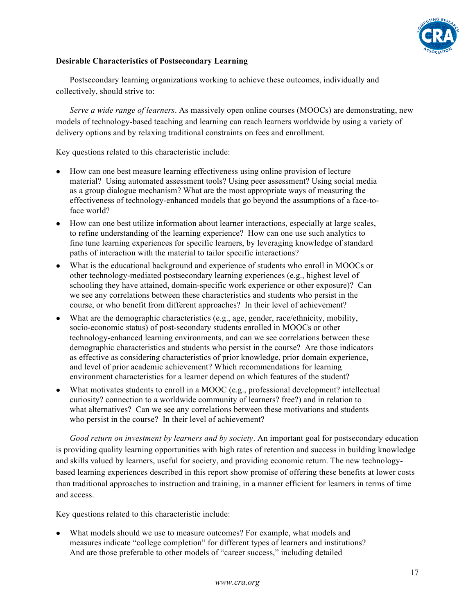

# **Desirable Characteristics of Postsecondary Learning**

Postsecondary learning organizations working to achieve these outcomes, individually and collectively, should strive to:

*Serve a wide range of learners*. As massively open online courses (MOOCs) are demonstrating, new models of technology-based teaching and learning can reach learners worldwide by using a variety of delivery options and by relaxing traditional constraints on fees and enrollment.

Key questions related to this characteristic include:

- How can one best measure learning effectiveness using online provision of lecture material? Using automated assessment tools? Using peer assessment? Using social media as a group dialogue mechanism? What are the most appropriate ways of measuring the effectiveness of technology-enhanced models that go beyond the assumptions of a face-toface world?
- How can one best utilize information about learner interactions, especially at large scales, to refine understanding of the learning experience? How can one use such analytics to fine tune learning experiences for specific learners, by leveraging knowledge of standard paths of interaction with the material to tailor specific interactions?
- What is the educational background and experience of students who enroll in MOOCs or other technology-mediated postsecondary learning experiences (e.g., highest level of schooling they have attained, domain-specific work experience or other exposure)? Can we see any correlations between these characteristics and students who persist in the course, or who benefit from different approaches? In their level of achievement?
- What are the demographic characteristics (e.g., age, gender, race/ethnicity, mobility, socio-economic status) of post-secondary students enrolled in MOOCs or other technology-enhanced learning environments, and can we see correlations between these demographic characteristics and students who persist in the course? Are those indicators as effective as considering characteristics of prior knowledge, prior domain experience, and level of prior academic achievement? Which recommendations for learning environment characteristics for a learner depend on which features of the student?
- What motivates students to enroll in a MOOC (e.g., professional development? intellectual curiosity? connection to a worldwide community of learners? free?) and in relation to what alternatives? Can we see any correlations between these motivations and students who persist in the course? In their level of achievement?

*Good return on investment by learners and by society*. An important goal for postsecondary education is providing quality learning opportunities with high rates of retention and success in building knowledge and skills valued by learners, useful for society, and providing economic return. The new technologybased learning experiences described in this report show promise of offering these benefits at lower costs than traditional approaches to instruction and training, in a manner efficient for learners in terms of time and access.

Key questions related to this characteristic include:

• What models should we use to measure outcomes? For example, what models and measures indicate "college completion" for different types of learners and institutions? And are those preferable to other models of "career success," including detailed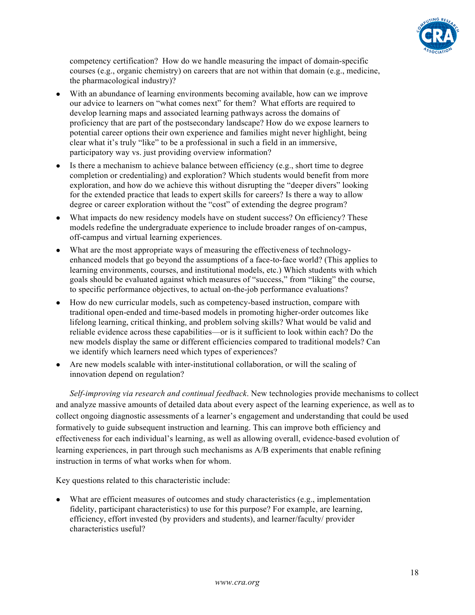

competency certification? How do we handle measuring the impact of domain-specific courses (e.g., organic chemistry) on careers that are not within that domain (e.g., medicine, the pharmacological industry)?

- With an abundance of learning environments becoming available, how can we improve our advice to learners on "what comes next" for them? What efforts are required to develop learning maps and associated learning pathways across the domains of proficiency that are part of the postsecondary landscape? How do we expose learners to potential career options their own experience and families might never highlight, being clear what it's truly "like" to be a professional in such a field in an immersive, participatory way vs. just providing overview information?
- Is there a mechanism to achieve balance between efficiency (e.g., short time to degree completion or credentialing) and exploration? Which students would benefit from more exploration, and how do we achieve this without disrupting the "deeper divers" looking for the extended practice that leads to expert skills for careers? Is there a way to allow degree or career exploration without the "cost" of extending the degree program?
- What impacts do new residency models have on student success? On efficiency? These models redefine the undergraduate experience to include broader ranges of on-campus, off-campus and virtual learning experiences.
- What are the most appropriate ways of measuring the effectiveness of technologyenhanced models that go beyond the assumptions of a face-to-face world? (This applies to learning environments, courses, and institutional models, etc.) Which students with which goals should be evaluated against which measures of "success," from "liking" the course, to specific performance objectives, to actual on-the-job performance evaluations?
- How do new curricular models, such as competency-based instruction, compare with traditional open-ended and time-based models in promoting higher-order outcomes like lifelong learning, critical thinking, and problem solving skills? What would be valid and reliable evidence across these capabilities—or is it sufficient to look within each? Do the new models display the same or different efficiencies compared to traditional models? Can we identify which learners need which types of experiences?
- Are new models scalable with inter-institutional collaboration, or will the scaling of innovation depend on regulation?

*Self-improving via research and continual feedback*. New technologies provide mechanisms to collect and analyze massive amounts of detailed data about every aspect of the learning experience, as well as to collect ongoing diagnostic assessments of a learner's engagement and understanding that could be used formatively to guide subsequent instruction and learning. This can improve both efficiency and effectiveness for each individual's learning, as well as allowing overall, evidence-based evolution of learning experiences, in part through such mechanisms as A/B experiments that enable refining instruction in terms of what works when for whom.

Key questions related to this characteristic include:

What are efficient measures of outcomes and study characteristics (e.g., implementation fidelity, participant characteristics) to use for this purpose? For example, are learning, efficiency, effort invested (by providers and students), and learner/faculty/ provider characteristics useful?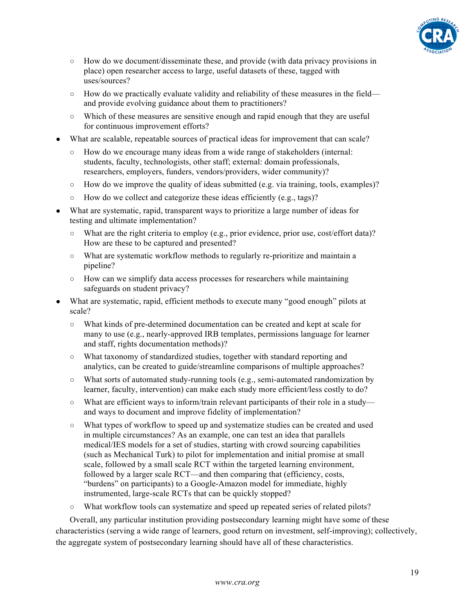

- How do we document/disseminate these, and provide (with data privacy provisions in place) open researcher access to large, useful datasets of these, tagged with uses/sources?
- How do we practically evaluate validity and reliability of these measures in the field and provide evolving guidance about them to practitioners?
- Which of these measures are sensitive enough and rapid enough that they are useful for continuous improvement efforts?
- What are scalable, repeatable sources of practical ideas for improvement that can scale?
	- How do we encourage many ideas from a wide range of stakeholders (internal: students, faculty, technologists, other staff; external: domain professionals, researchers, employers, funders, vendors/providers, wider community)?
	- $\circ$  How do we improve the quality of ideas submitted (e.g. via training, tools, examples)?
	- How do we collect and categorize these ideas efficiently (e.g., tags)?
- What are systematic, rapid, transparent ways to prioritize a large number of ideas for testing and ultimate implementation?
	- What are the right criteria to employ (e.g., prior evidence, prior use, cost/effort data)? How are these to be captured and presented?
	- What are systematic workflow methods to regularly re-prioritize and maintain a pipeline?
	- How can we simplify data access processes for researchers while maintaining safeguards on student privacy?
- What are systematic, rapid, efficient methods to execute many "good enough" pilots at scale?
	- What kinds of pre-determined documentation can be created and kept at scale for many to use (e.g., nearly-approved IRB templates, permissions language for learner and staff, rights documentation methods)?
	- What taxonomy of standardized studies, together with standard reporting and analytics, can be created to guide/streamline comparisons of multiple approaches?
	- What sorts of automated study-running tools (e.g., semi-automated randomization by learner, faculty, intervention) can make each study more efficient/less costly to do?
	- What are efficient ways to inform/train relevant participants of their role in a study and ways to document and improve fidelity of implementation?
	- What types of workflow to speed up and systematize studies can be created and used in multiple circumstances? As an example, one can test an idea that parallels medical/IES models for a set of studies, starting with crowd sourcing capabilities (such as Mechanical Turk) to pilot for implementation and initial promise at small scale, followed by a small scale RCT within the targeted learning environment, followed by a larger scale RCT—and then comparing that (efficiency, costs, "burdens" on participants) to a Google-Amazon model for immediate, highly instrumented, large-scale RCTs that can be quickly stopped?
	- What workflow tools can systematize and speed up repeated series of related pilots?

Overall, any particular institution providing postsecondary learning might have some of these characteristics (serving a wide range of learners, good return on investment, self-improving); collectively, the aggregate system of postsecondary learning should have all of these characteristics.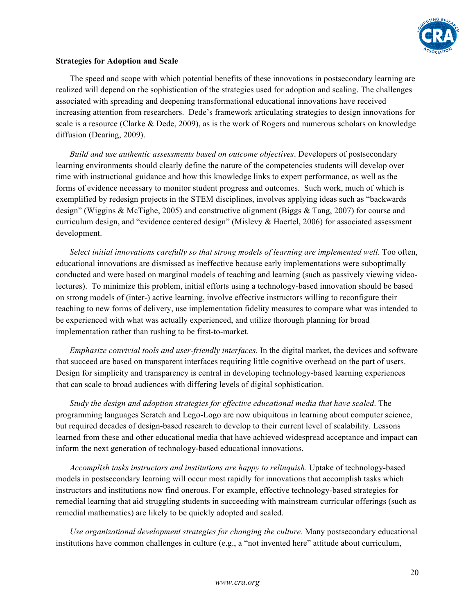

#### **Strategies for Adoption and Scale**

The speed and scope with which potential benefits of these innovations in postsecondary learning are realized will depend on the sophistication of the strategies used for adoption and scaling. The challenges associated with spreading and deepening transformational educational innovations have received increasing attention from researchers. Dede's framework articulating strategies to design innovations for scale is a resource (Clarke & Dede, 2009), as is the work of Rogers and numerous scholars on knowledge diffusion (Dearing, 2009).

*Build and use authentic assessments based on outcome objectives*. Developers of postsecondary learning environments should clearly define the nature of the competencies students will develop over time with instructional guidance and how this knowledge links to expert performance, as well as the forms of evidence necessary to monitor student progress and outcomes. Such work, much of which is exemplified by redesign projects in the STEM disciplines, involves applying ideas such as "backwards design" (Wiggins & McTighe, 2005) and constructive alignment (Biggs & Tang, 2007) for course and curriculum design, and "evidence centered design" (Mislevy & Haertel, 2006) for associated assessment development.

*Select initial innovations carefully so that strong models of learning are implemented well*. Too often, educational innovations are dismissed as ineffective because early implementations were suboptimally conducted and were based on marginal models of teaching and learning (such as passively viewing videolectures). To minimize this problem, initial efforts using a technology-based innovation should be based on strong models of (inter-) active learning, involve effective instructors willing to reconfigure their teaching to new forms of delivery, use implementation fidelity measures to compare what was intended to be experienced with what was actually experienced, and utilize thorough planning for broad implementation rather than rushing to be first-to-market.

*Emphasize convivial tools and user-friendly interfaces*. In the digital market, the devices and software that succeed are based on transparent interfaces requiring little cognitive overhead on the part of users. Design for simplicity and transparency is central in developing technology-based learning experiences that can scale to broad audiences with differing levels of digital sophistication.

*Study the design and adoption strategies for effective educational media that have scaled*. The programming languages Scratch and Lego-Logo are now ubiquitous in learning about computer science, but required decades of design-based research to develop to their current level of scalability. Lessons learned from these and other educational media that have achieved widespread acceptance and impact can inform the next generation of technology-based educational innovations.

*Accomplish tasks instructors and institutions are happy to relinquish*. Uptake of technology-based models in postsecondary learning will occur most rapidly for innovations that accomplish tasks which instructors and institutions now find onerous. For example, effective technology-based strategies for remedial learning that aid struggling students in succeeding with mainstream curricular offerings (such as remedial mathematics) are likely to be quickly adopted and scaled.

*Use organizational development strategies for changing the culture*. Many postsecondary educational institutions have common challenges in culture (e.g., a "not invented here" attitude about curriculum,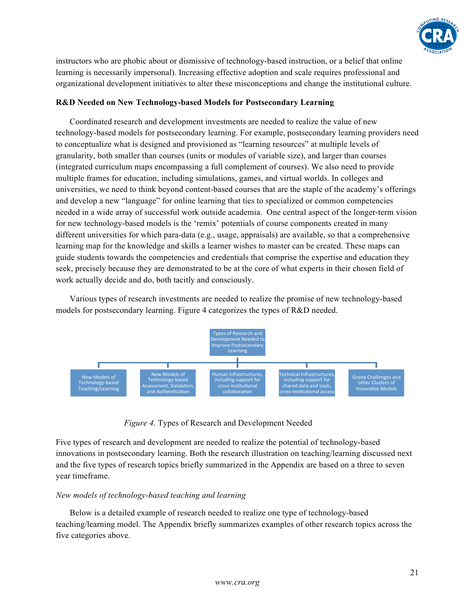

instructors who are phobic about or dismissive of technology-based instruction, or a belief that online learning is necessarily impersonal). Increasing effective adoption and scale requires professional and organizational development initiatives to alter these misconceptions and change the institutional culture.

# **R&D Needed on New Technology-based Models for Postsecondary Learning**

Coordinated research and development investments are needed to realize the value of new technology-based models for postsecondary learning. For example, postsecondary learning providers need to conceptualize what is designed and provisioned as "learning resources" at multiple levels of granularity, both smaller than courses (units or modules of variable size), and larger than courses (integrated curriculum maps encompassing a full complement of courses). We also need to provide multiple frames for education, including simulations, games, and virtual worlds. In colleges and universities, we need to think beyond content-based courses that are the staple of the academy's offerings and develop a new "language" for online learning that ties to specialized or common competencies needed in a wide array of successful work outside academia. One central aspect of the longer-term vision for new technology-based models is the 'remix' potentials of course components created in many different universities for which para-data (e.g., usage, appraisals) are available, so that a comprehensive learning map for the knowledge and skills a learner wishes to master can be created. These maps can guide students towards the competencies and credentials that comprise the expertise and education they seek, precisely because they are demonstrated to be at the core of what experts in their chosen field of work actually decide and do, both tacitly and consciously.

Various types of research investments are needed to realize the promise of new technology-based models for postsecondary learning. Figure 4 categorizes the types of R&D needed.



*Figure 4*. Types of Research and Development Needed

Five types of research and development are needed to realize the potential of technology-based innovations in postsecondary learning. Both the research illustration on teaching/learning discussed next and the five types of research topics briefly summarized in the Appendix are based on a three to seven year timeframe.

#### *New models of technology-based teaching and learning*

Below is a detailed example of research needed to realize one type of technology-based teaching/learning model. The Appendix briefly summarizes examples of other research topics across the five categories above.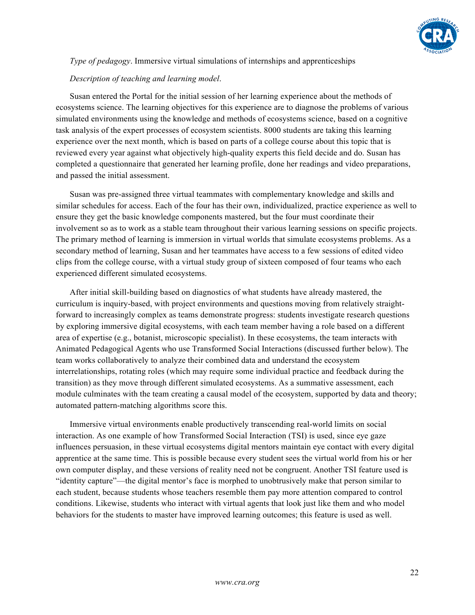

# *Type of pedagogy*. Immersive virtual simulations of internships and apprenticeships

#### *Description of teaching and learning model*.

Susan entered the Portal for the initial session of her learning experience about the methods of ecosystems science. The learning objectives for this experience are to diagnose the problems of various simulated environments using the knowledge and methods of ecosystems science, based on a cognitive task analysis of the expert processes of ecosystem scientists. 8000 students are taking this learning experience over the next month, which is based on parts of a college course about this topic that is reviewed every year against what objectively high-quality experts this field decide and do. Susan has completed a questionnaire that generated her learning profile, done her readings and video preparations, and passed the initial assessment.

Susan was pre-assigned three virtual teammates with complementary knowledge and skills and similar schedules for access. Each of the four has their own, individualized, practice experience as well to ensure they get the basic knowledge components mastered, but the four must coordinate their involvement so as to work as a stable team throughout their various learning sessions on specific projects. The primary method of learning is immersion in virtual worlds that simulate ecosystems problems. As a secondary method of learning, Susan and her teammates have access to a few sessions of edited video clips from the college course, with a virtual study group of sixteen composed of four teams who each experienced different simulated ecosystems.

After initial skill-building based on diagnostics of what students have already mastered, the curriculum is inquiry-based, with project environments and questions moving from relatively straightforward to increasingly complex as teams demonstrate progress: students investigate research questions by exploring immersive digital ecosystems, with each team member having a role based on a different area of expertise (e.g., botanist, microscopic specialist). In these ecosystems, the team interacts with Animated Pedagogical Agents who use Transformed Social Interactions (discussed further below). The team works collaboratively to analyze their combined data and understand the ecosystem interrelationships, rotating roles (which may require some individual practice and feedback during the transition) as they move through different simulated ecosystems. As a summative assessment, each module culminates with the team creating a causal model of the ecosystem, supported by data and theory; automated pattern-matching algorithms score this.

Immersive virtual environments enable productively transcending real-world limits on social interaction. As one example of how Transformed Social Interaction (TSI) is used, since eye gaze influences persuasion, in these virtual ecosystems digital mentors maintain eye contact with every digital apprentice at the same time. This is possible because every student sees the virtual world from his or her own computer display, and these versions of reality need not be congruent. Another TSI feature used is "identity capture"—the digital mentor's face is morphed to unobtrusively make that person similar to each student, because students whose teachers resemble them pay more attention compared to control conditions. Likewise, students who interact with virtual agents that look just like them and who model behaviors for the students to master have improved learning outcomes; this feature is used as well.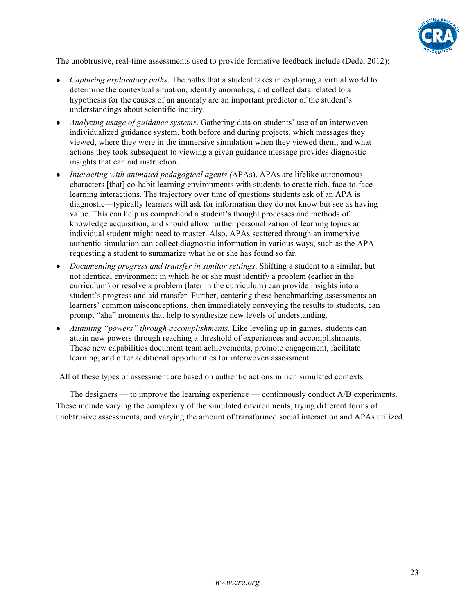

The unobtrusive, real-time assessments used to provide formative feedback include (Dede, 2012):

- *Capturing exploratory paths*. The paths that a student takes in exploring a virtual world to determine the contextual situation, identify anomalies, and collect data related to a hypothesis for the causes of an anomaly are an important predictor of the student's understandings about scientific inquiry.
- *Analyzing usage of guidance systems*. Gathering data on students' use of an interwoven individualized guidance system, both before and during projects, which messages they viewed, where they were in the immersive simulation when they viewed them, and what actions they took subsequent to viewing a given guidance message provides diagnostic insights that can aid instruction.
- *Interacting with animated pedagogical agents (*APAs). APAs are lifelike autonomous characters [that] co-habit learning environments with students to create rich, face-to-face learning interactions. The trajectory over time of questions students ask of an APA is diagnostic—typically learners will ask for information they do not know but see as having value. This can help us comprehend a student's thought processes and methods of knowledge acquisition, and should allow further personalization of learning topics an individual student might need to master. Also, APAs scattered through an immersive authentic simulation can collect diagnostic information in various ways, such as the APA requesting a student to summarize what he or she has found so far.
- *Documenting progress and transfer in similar settings*. Shifting a student to a similar, but not identical environment in which he or she must identify a problem (earlier in the curriculum) or resolve a problem (later in the curriculum) can provide insights into a student's progress and aid transfer. Further, centering these benchmarking assessments on learners' common misconceptions, then immediately conveying the results to students, can prompt "aha" moments that help to synthesize new levels of understanding.
- *Attaining "powers" through accomplishments.* Like leveling up in games, students can attain new powers through reaching a threshold of experiences and accomplishments. These new capabilities document team achievements, promote engagement, facilitate learning, and offer additional opportunities for interwoven assessment.

All of these types of assessment are based on authentic actions in rich simulated contexts.

The designers — to improve the learning experience — continuously conduct A/B experiments. These include varying the complexity of the simulated environments, trying different forms of unobtrusive assessments, and varying the amount of transformed social interaction and APAs utilized.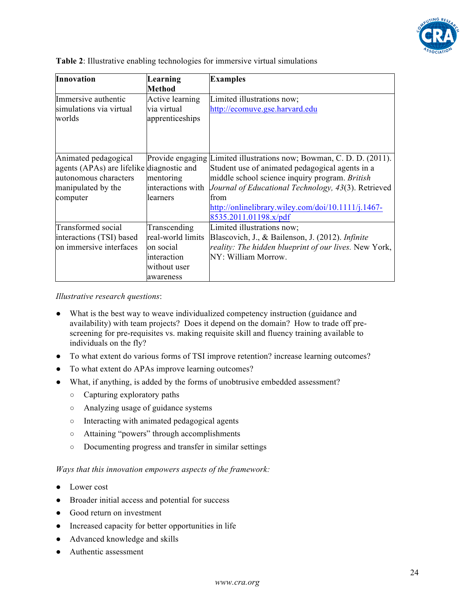

|  |  |  |  | Table 2: Illustrative enabling technologies for immersive virtual simulations |
|--|--|--|--|-------------------------------------------------------------------------------|
|  |  |  |  |                                                                               |

| Innovation                                | Learning<br><b>Method</b> | <b>Examples</b>                                                      |
|-------------------------------------------|---------------------------|----------------------------------------------------------------------|
| Immersive authentic                       | Active learning           | Limited illustrations now;                                           |
| simulations via virtual                   | via virtual               | http://ecomuve.gse.harvard.edu                                       |
| worlds                                    | apprenticeships           |                                                                      |
|                                           |                           |                                                                      |
| Animated pedagogical                      |                           | Provide engaging Limited illustrations now; Bowman, C. D. D. (2011). |
| agents (APAs) are lifelike diagnostic and |                           | Student use of animated pedagogical agents in a                      |
| autonomous characters                     | mentoring                 | middle school science inquiry program. British                       |
| manipulated by the                        | interactions with         | Journal of Educational Technology, 43(3). Retrieved                  |
| computer                                  | llearners                 | from                                                                 |
|                                           |                           | http://onlinelibrary.wiley.com/doi/10.1111/j.1467-                   |
|                                           |                           | 8535.2011.01198.x/pdf                                                |
| Transformed social                        | Transcending              | Limited illustrations now;                                           |
| interactions (TSI) based                  | real-world limits         | Blascovich, J., & Bailenson, J. (2012). <i>Infinite</i>              |
| on immersive interfaces                   | on social                 | reality: The hidden blueprint of our lives. New York,                |
|                                           | interaction               | NY: William Morrow.                                                  |
|                                           | without user              |                                                                      |
|                                           | awareness                 |                                                                      |

*Illustrative research questions*:

- What is the best way to weave individualized competency instruction (guidance and availability) with team projects? Does it depend on the domain? How to trade off prescreening for pre-requisites vs. making requisite skill and fluency training available to individuals on the fly?
- To what extent do various forms of TSI improve retention? increase learning outcomes?
- To what extent do APAs improve learning outcomes?
- What, if anything, is added by the forms of unobtrusive embedded assessment?
	- Capturing exploratory paths
	- Analyzing usage of guidance systems
	- Interacting with animated pedagogical agents
	- Attaining "powers" through accomplishments
	- Documenting progress and transfer in similar settings

*Ways that this innovation empowers aspects of the framework:*

- Lower cost
- Broader initial access and potential for success
- Good return on investment
- Increased capacity for better opportunities in life
- Advanced knowledge and skills
- Authentic assessment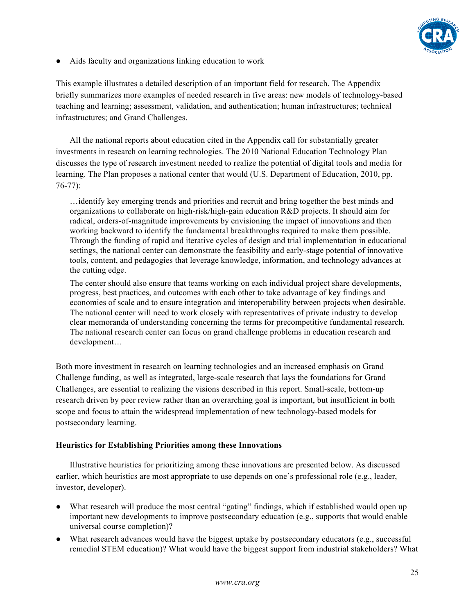

● Aids faculty and organizations linking education to work

This example illustrates a detailed description of an important field for research. The Appendix briefly summarizes more examples of needed research in five areas: new models of technology-based teaching and learning; assessment, validation, and authentication; human infrastructures; technical infrastructures; and Grand Challenges.

All the national reports about education cited in the Appendix call for substantially greater investments in research on learning technologies. The 2010 National Education Technology Plan discusses the type of research investment needed to realize the potential of digital tools and media for learning. The Plan proposes a national center that would (U.S. Department of Education, 2010, pp. 76-77):

…identify key emerging trends and priorities and recruit and bring together the best minds and organizations to collaborate on high-risk/high-gain education R&D projects. It should aim for radical, orders-of-magnitude improvements by envisioning the impact of innovations and then working backward to identify the fundamental breakthroughs required to make them possible. Through the funding of rapid and iterative cycles of design and trial implementation in educational settings, the national center can demonstrate the feasibility and early-stage potential of innovative tools, content, and pedagogies that leverage knowledge, information, and technology advances at the cutting edge.

The center should also ensure that teams working on each individual project share developments, progress, best practices, and outcomes with each other to take advantage of key findings and economies of scale and to ensure integration and interoperability between projects when desirable. The national center will need to work closely with representatives of private industry to develop clear memoranda of understanding concerning the terms for precompetitive fundamental research. The national research center can focus on grand challenge problems in education research and development…

Both more investment in research on learning technologies and an increased emphasis on Grand Challenge funding, as well as integrated, large-scale research that lays the foundations for Grand Challenges, are essential to realizing the visions described in this report. Small-scale, bottom-up research driven by peer review rather than an overarching goal is important, but insufficient in both scope and focus to attain the widespread implementation of new technology-based models for postsecondary learning.

#### **Heuristics for Establishing Priorities among these Innovations**

Illustrative heuristics for prioritizing among these innovations are presented below. As discussed earlier, which heuristics are most appropriate to use depends on one's professional role (e.g., leader, investor, developer).

- What research will produce the most central "gating" findings, which if established would open up important new developments to improve postsecondary education (e.g., supports that would enable universal course completion)?
- What research advances would have the biggest uptake by postsecondary educators (e.g., successful remedial STEM education)? What would have the biggest support from industrial stakeholders? What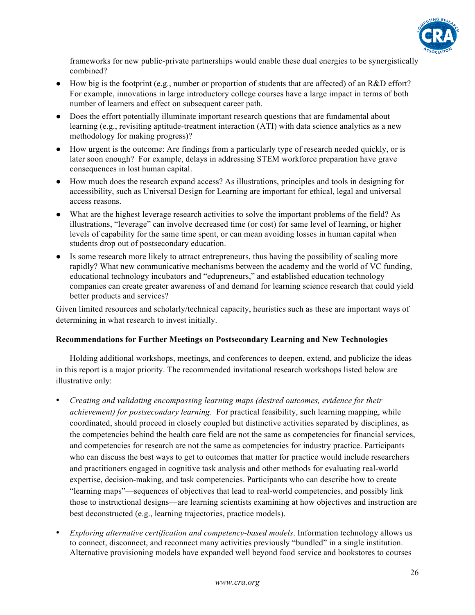

frameworks for new public-private partnerships would enable these dual energies to be synergistically combined?

- How big is the footprint (e.g., number or proportion of students that are affected) of an R&D effort? For example, innovations in large introductory college courses have a large impact in terms of both number of learners and effect on subsequent career path.
- Does the effort potentially illuminate important research questions that are fundamental about learning (e.g., revisiting aptitude-treatment interaction (ATI) with data science analytics as a new methodology for making progress)?
- How urgent is the outcome: Are findings from a particularly type of research needed quickly, or is later soon enough? For example, delays in addressing STEM workforce preparation have grave consequences in lost human capital.
- How much does the research expand access? As illustrations, principles and tools in designing for accessibility, such as Universal Design for Learning are important for ethical, legal and universal access reasons.
- What are the highest leverage research activities to solve the important problems of the field? As illustrations, "leverage" can involve decreased time (or cost) for same level of learning, or higher levels of capability for the same time spent, or can mean avoiding losses in human capital when students drop out of postsecondary education.
- Is some research more likely to attract entrepreneurs, thus having the possibility of scaling more rapidly? What new communicative mechanisms between the academy and the world of VC funding, educational technology incubators and "edupreneurs," and established education technology companies can create greater awareness of and demand for learning science research that could yield better products and services?

Given limited resources and scholarly/technical capacity, heuristics such as these are important ways of determining in what research to invest initially.

# **Recommendations for Further Meetings on Postsecondary Learning and New Technologies**

Holding additional workshops, meetings, and conferences to deepen, extend, and publicize the ideas in this report is a major priority. The recommended invitational research workshops listed below are illustrative only:

- *Creating and validating encompassing learning maps (desired outcomes, evidence for their achievement) for postsecondary learning*. For practical feasibility, such learning mapping, while coordinated, should proceed in closely coupled but distinctive activities separated by disciplines, as the competencies behind the health care field are not the same as competencies for financial services, and competencies for research are not the same as competencies for industry practice. Participants who can discuss the best ways to get to outcomes that matter for practice would include researchers and practitioners engaged in cognitive task analysis and other methods for evaluating real-world expertise, decision-making, and task competencies. Participants who can describe how to create "learning maps"—sequences of objectives that lead to real-world competencies, and possibly link those to instructional designs—are learning scientists examining at how objectives and instruction are best deconstructed (e.g., learning trajectories, practice models).
- *Exploring alternative certification and competency-based models*. Information technology allows us to connect, disconnect, and reconnect many activities previously "bundled" in a single institution. Alternative provisioning models have expanded well beyond food service and bookstores to courses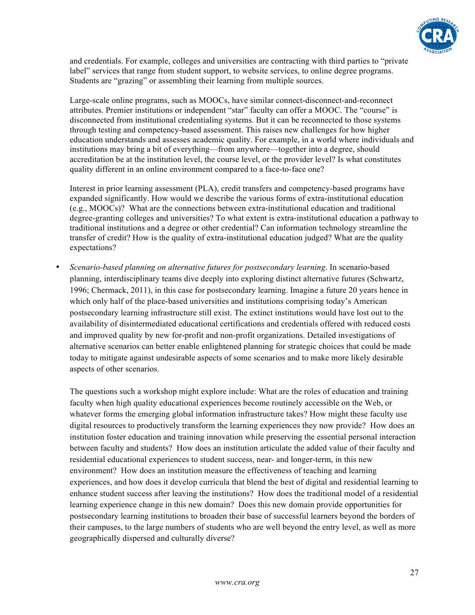

and credentials. For example, colleges and universities are contracting with third parties to "private label" services that range from student support, to website services, to online degree programs. Students are "grazing" or assembling their learning from multiple sources.

Large-scale online programs, such as MOOCs, have similar connect-disconnect-and-reconnect attributes. Premier institutions or independent "star" faculty can offer a MOOC. The "course" is disconnected from institutional credentialing systems. But it can be reconnected to those systems through testing and competency-based assessment. This raises new challenges for how higher education understands and assesses academic quality. For example, in a world where individuals and institutions may bring a bit of everything—from anywhere—together into a degree, should accreditation be at the institution level, the course level, or the provider level? Is what constitutes quality different in an online environment compared to a face-to-face one?

Interest in prior learning assessment (PLA), credit transfers and competency-based programs have expanded significantly. How would we describe the various forms of extra-institutional education (e.g., MOOCs)? What are the connections between extra-institutional education and traditional degree-granting colleges and universities? To what extent is extra-institutional education a pathway to traditional institutions and a degree or other credential? Can information technology streamline the transfer of credit? How is the quality of extra-institutional education judged? What are the quality expectations?

• *Scenario-based planning on alternative futures for postsecondary learning*. In scenario-based planning, interdisciplinary teams dive deeply into exploring distinct alternative futures (Schwartz, 1996; Chermack, 2011), in this case for postsecondary learning. Imagine a future 20 years hence in which only half of the place-based universities and institutions comprising today's American postsecondary learning infrastructure still exist. The extinct institutions would have lost out to the availability of disintermediated educational certifications and credentials offered with reduced costs and improved quality by new for-profit and non-profit organizations. Detailed investigations of alternative scenarios can better enable enlightened planning for strategic choices that could be made today to mitigate against undesirable aspects of some scenarios and to make more likely desirable aspects of other scenarios.

The questions such a workshop might explore include: What are the roles of education and training faculty when high quality educational experiences become routinely accessible on the Web, or whatever forms the emerging global information infrastructure takes? How might these faculty use digital resources to productively transform the learning experiences they now provide? How does an institution foster education and training innovation while preserving the essential personal interaction between faculty and students? How does an institution articulate the added value of their faculty and residential educational experiences to student success, near- and longer-term, in this new environment? How does an institution measure the effectiveness of teaching and learning experiences, and how does it develop curricula that blend the best of digital and residential learning to enhance student success after leaving the institutions? How does the traditional model of a residential learning experience change in this new domain? Does this new domain provide opportunities for postsecondary learning institutions to broaden their base of successful learners beyond the borders of their campuses, to the large numbers of students who are well beyond the entry level, as well as more geographically dispersed and culturally diverse?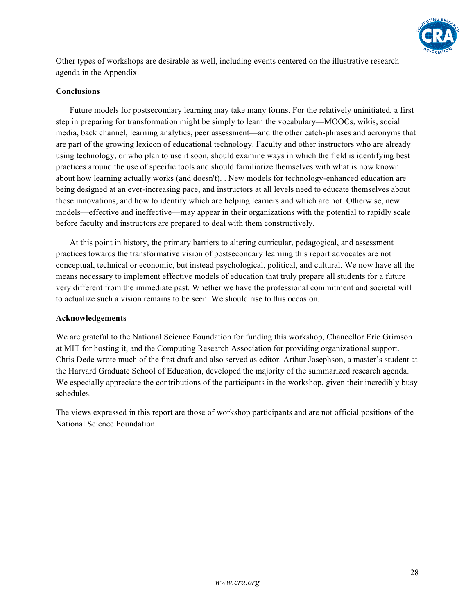

Other types of workshops are desirable as well, including events centered on the illustrative research agenda in the Appendix.

# **Conclusions**

Future models for postsecondary learning may take many forms. For the relatively uninitiated, a first step in preparing for transformation might be simply to learn the vocabulary—MOOCs, wikis, social media, back channel, learning analytics, peer assessment—and the other catch-phrases and acronyms that are part of the growing lexicon of educational technology. Faculty and other instructors who are already using technology, or who plan to use it soon, should examine ways in which the field is identifying best practices around the use of specific tools and should familiarize themselves with what is now known about how learning actually works (and doesn't). . New models for technology-enhanced education are being designed at an ever-increasing pace, and instructors at all levels need to educate themselves about those innovations, and how to identify which are helping learners and which are not. Otherwise, new models—effective and ineffective—may appear in their organizations with the potential to rapidly scale before faculty and instructors are prepared to deal with them constructively.

At this point in history, the primary barriers to altering curricular, pedagogical, and assessment practices towards the transformative vision of postsecondary learning this report advocates are not conceptual, technical or economic, but instead psychological, political, and cultural. We now have all the means necessary to implement effective models of education that truly prepare all students for a future very different from the immediate past. Whether we have the professional commitment and societal will to actualize such a vision remains to be seen. We should rise to this occasion.

#### **Acknowledgements**

We are grateful to the National Science Foundation for funding this workshop, Chancellor Eric Grimson at MIT for hosting it, and the Computing Research Association for providing organizational support. Chris Dede wrote much of the first draft and also served as editor. Arthur Josephson, a master's student at the Harvard Graduate School of Education, developed the majority of the summarized research agenda. We especially appreciate the contributions of the participants in the workshop, given their incredibly busy schedules.

The views expressed in this report are those of workshop participants and are not official positions of the National Science Foundation.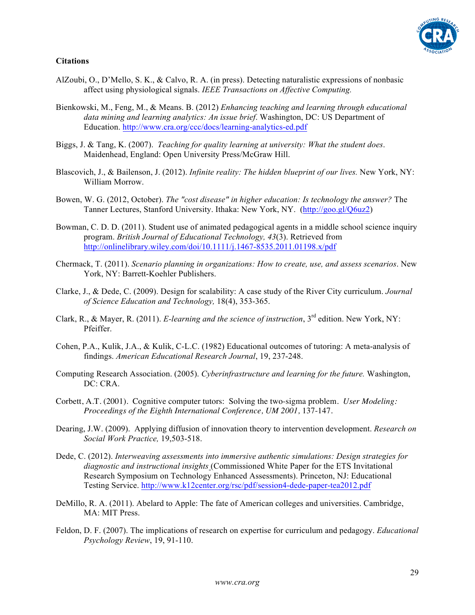# **Citations**

- AlZoubi, O., D'Mello, S. K., & Calvo, R. A. (in press). Detecting naturalistic expressions of nonbasic affect using physiological signals. *IEEE Transactions on Affective Computing.*
- Bienkowski, M., Feng, M., & Means. B. (2012) *Enhancing teaching and learning through educational data mining and learning analytics: An issue brief*. Washington, DC: US Department of Education. http://www.cra.org/ccc/docs/learning-analytics-ed.pdf
- Biggs, J. & Tang, K. (2007). *Teaching for quality learning at university: What the student does*. Maidenhead, England: Open University Press/McGraw Hill.
- Blascovich, J., & Bailenson, J. (2012). *Infinite reality: The hidden blueprint of our lives.* New York, NY: William Morrow.
- Bowen, W. G. (2012, October). *The "cost disease" in higher education: Is technology the answer?* The Tanner Lectures, Stanford University. Ithaka: New York, NY. (http://goo.gl/Q6uz2)
- Bowman, C. D. D. (2011). Student use of animated pedagogical agents in a middle school science inquiry program. *British Journal of Educational Technology, 43*(3). Retrieved from http://onlinelibrary.wiley.com/doi/10.1111/j.1467-8535.2011.01198.x/pdf
- Chermack, T. (2011). *Scenario planning in organizations: How to create, use, and assess scenarios*. New York, NY: Barrett-Koehler Publishers.
- Clarke, J., & Dede, C. (2009). Design for scalability: A case study of the River City curriculum. *Journal of Science Education and Technology,* 18(4), 353-365.
- Clark, R., & Mayer, R. (2011). *E-learning and the science of instruction*, 3rd edition. New York, NY: Pfeiffer.
- Cohen, P.A., Kulik, J.A., & Kulik, C-L.C. (1982) Educational outcomes of tutoring: A meta-analysis of findings. *American Educational Research Journal*, 19, 237-248.
- Computing Research Association. (2005). *Cyberinfrastructure and learning for the future.* Washington, DC: CRA.
- Corbett, A.T. (2001). Cognitive computer tutors: Solving the two-sigma problem. *User Modeling: Proceedings of the Eighth International Conference, UM 2001,* 137-147*.*
- Dearing, J.W. (2009). Applying diffusion of innovation theory to intervention development. *Research on Social Work Practice,* 19,503-518.
- Dede, C. (2012). *Interweaving assessments into immersive authentic simulations: Design strategies for diagnostic and instructional insights* (Commissioned White Paper for the ETS Invitational Research Symposium on Technology Enhanced Assessments). Princeton, NJ: Educational Testing Service. http://www.k12center.org/rsc/pdf/session4-dede-paper-tea2012.pdf
- DeMillo, R. A. (2011). Abelard to Apple: The fate of American colleges and universities. Cambridge, MA: MIT Press.
- Feldon, D. F. (2007). The implications of research on expertise for curriculum and pedagogy. *Educational Psychology Review*, 19, 91-110.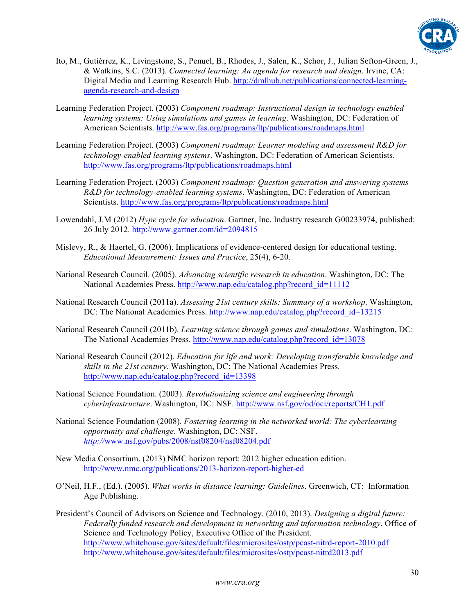

- Ito, M., Gutiérrez, K., Livingstone, S., Penuel, B., Rhodes, J., Salen, K., Schor, J., Julian Sefton-Green, J., & Watkins, S.C. (2013). *Connected learning: An agenda for research and design*. Irvine, CA: Digital Media and Learning Research Hub. http://dmlhub.net/publications/connected-learningagenda-research-and-design
- Learning Federation Project. (2003) *Component roadmap: Instructional design in technology enabled learning systems: Using simulations and games in learning*. Washington, DC: Federation of American Scientists. http://www.fas.org/programs/ltp/publications/roadmaps.html
- Learning Federation Project. (2003) *Component roadmap: Learner modeling and assessment R&D for technology-enabled learning systems*. Washington, DC: Federation of American Scientists. http://www.fas.org/programs/ltp/publications/roadmaps.html
- Learning Federation Project. (2003) *Component roadmap: Question generation and answering systems R&D for technology-enabled learning systems*. Washington, DC: Federation of American Scientists. http://www.fas.org/programs/ltp/publications/roadmaps.html
- Lowendahl, J.M (2012) *Hype cycle for education*. Gartner, Inc. Industry research G00233974, published: 26 July 2012. http://www.gartner.com/id=2094815
- Mislevy, R., & Haertel, G. (2006). Implications of evidence-centered design for educational testing. *Educational Measurement: Issues and Practice*, 25(4), 6-20.
- National Research Council. (2005). *Advancing scientific research in education*. Washington, DC: The National Academies Press. http://www.nap.edu/catalog.php?record\_id=11112
- National Research Council (2011a). *Assessing 21st century skills: Summary of a workshop*. Washington, DC: The National Academies Press. http://www.nap.edu/catalog.php?record\_id=13215
- National Research Council (2011b). *Learning science through games and simulations*. Washington, DC: The National Academies Press. http://www.nap.edu/catalog.php?record\_id=13078
- National Research Council (2012). *Education for life and work: Developing transferable knowledge and skills in the 21st century*. Washington, DC: The National Academies Press. http://www.nap.edu/catalog.php?record\_id=13398
- National Science Foundation. (2003). *Revolutionizing science and engineering through cyberinfrastructure*. Washington, DC: NSF. http://www.nsf.gov/od/oci/reports/CH1.pdf
- National Science Foundation (2008). *Fostering learning in the networked world: The cyberlearning opportunity and challenge*. Washington, DC: NSF. *http://*www.nsf.gov/pubs/2008/nsf08204/nsf08204.pdf
- New Media Consortium. (2013) NMC horizon report: 2012 higher education edition. http://www.nmc.org/publications/2013-horizon-report-higher-ed
- O'Neil, H.F., (Ed.). (2005). *What works in distance learning: Guidelines*. Greenwich, CT: Information Age Publishing.
- President's Council of Advisors on Science and Technology. (2010, 2013). *Designing a digital future: Federally funded research and development in networking and information technology*. Office of Science and Technology Policy, Executive Office of the President. http://www.whitehouse.gov/sites/default/files/microsites/ostp/pcast-nitrd-report-2010.pdf http://www.whitehouse.gov/sites/default/files/microsites/ostp/pcast-nitrd2013.pdf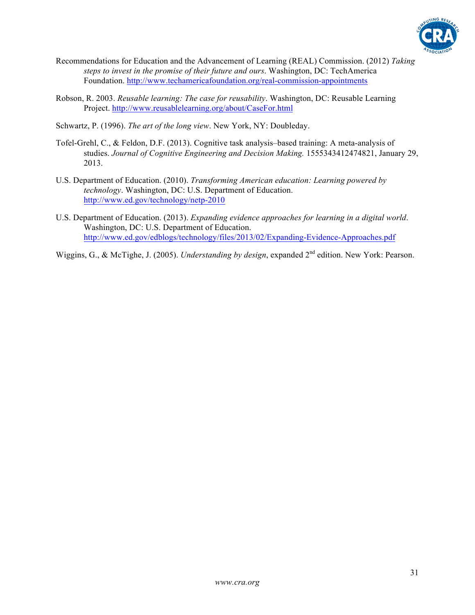

- Recommendations for Education and the Advancement of Learning (REAL) Commission. (2012) *Taking steps to invest in the promise of their future and ours*. Washington, DC: TechAmerica Foundation. http://www.techamericafoundation.org/real-commission-appointments
- Robson, R. 2003. *Reusable learning: The case for reusability*. Washington, DC: Reusable Learning Project. http://www.reusablelearning.org/about/CaseFor.html
- Schwartz, P. (1996). *The art of the long view*. New York, NY: Doubleday.
- Tofel-Grehl, C., & Feldon, D.F. (2013). Cognitive task analysis–based training: A meta-analysis of studies. *Journal of Cognitive Engineering and Decision Making.* 1555343412474821, January 29, 2013.
- U.S. Department of Education. (2010). *Transforming American education: Learning powered by technology*. Washington, DC: U.S. Department of Education. http://www.ed.gov/technology/netp-2010
- U.S. Department of Education. (2013). *Expanding evidence approaches for learning in a digital world*. Washington, DC: U.S. Department of Education. http://www.ed.gov/edblogs/technology/files/2013/02/Expanding-Evidence-Approaches.pdf
- Wiggins, G., & McTighe, J. (2005). *Understanding by design*, expanded 2<sup>nd</sup> edition. New York: Pearson.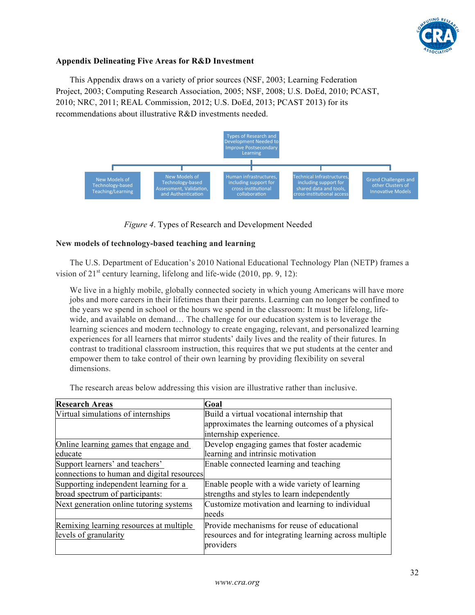

# **Appendix Delineating Five Areas for R&D Investment**

This Appendix draws on a variety of prior sources (NSF, 2003; Learning Federation Project, 2003; Computing Research Association, 2005; NSF, 2008; U.S. DoEd, 2010; PCAST, 2010; NRC, 2011; REAL Commission, 2012; U.S. DoEd, 2013; PCAST 2013) for its recommendations about illustrative R&D investments needed.



*Figure 4*. Types of Research and Development Needed

#### **New models of technology-based teaching and learning**

The U.S. Department of Education's 2010 National Educational Technology Plan (NETP) frames a vision of  $21<sup>st</sup>$  century learning, lifelong and life-wide (2010, pp. 9, 12):

We live in a highly mobile, globally connected society in which young Americans will have more jobs and more careers in their lifetimes than their parents. Learning can no longer be confined to the years we spend in school or the hours we spend in the classroom: It must be lifelong, lifewide, and available on demand… The challenge for our education system is to leverage the learning sciences and modern technology to create engaging, relevant, and personalized learning experiences for all learners that mirror students' daily lives and the reality of their futures. In contrast to traditional classroom instruction, this requires that we put students at the center and empower them to take control of their own learning by providing flexibility on several dimensions.

The research areas below addressing this vision are illustrative rather than inclusive.

| <b>Research Areas</b>                                            | Goal                                                                                                               |
|------------------------------------------------------------------|--------------------------------------------------------------------------------------------------------------------|
| Virtual simulations of internships                               | Build a virtual vocational internship that                                                                         |
|                                                                  | approximates the learning outcomes of a physical                                                                   |
|                                                                  | internship experience.                                                                                             |
| Online learning games that engage and                            | Develop engaging games that foster academic                                                                        |
| educate                                                          | learning and intrinsic motivation                                                                                  |
| Support learners' and teachers'                                  | Enable connected learning and teaching                                                                             |
| connections to human and digital resources                       |                                                                                                                    |
| Supporting independent learning for a                            | Enable people with a wide variety of learning                                                                      |
| broad spectrum of participants:                                  | strengths and styles to learn independently                                                                        |
| Next generation online tutoring systems                          | Customize motivation and learning to individual                                                                    |
|                                                                  | needs                                                                                                              |
| Remixing learning resources at multiple<br>levels of granularity | Provide mechanisms for reuse of educational<br>resources and for integrating learning across multiple<br>providers |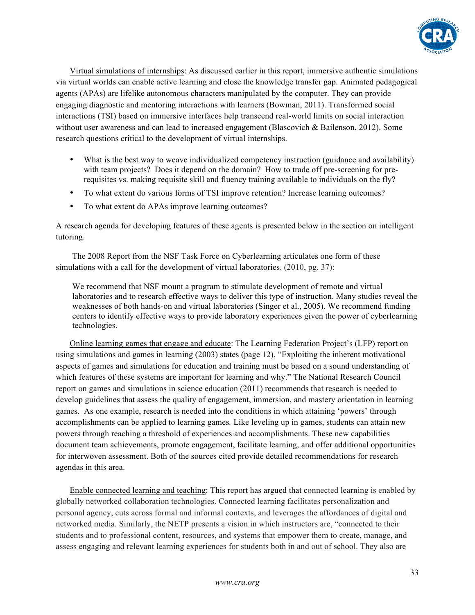

Virtual simulations of internships: As discussed earlier in this report, immersive authentic simulations via virtual worlds can enable active learning and close the knowledge transfer gap. Animated pedagogical agents (APAs) are lifelike autonomous characters manipulated by the computer. They can provide engaging diagnostic and mentoring interactions with learners (Bowman, 2011). Transformed social interactions (TSI) based on immersive interfaces help transcend real-world limits on social interaction without user awareness and can lead to increased engagement (Blascovich & Bailenson, 2012). Some research questions critical to the development of virtual internships.

- What is the best way to weave individualized competency instruction (guidance and availability) with team projects? Does it depend on the domain? How to trade off pre-screening for prerequisites vs. making requisite skill and fluency training available to individuals on the fly?
- To what extent do various forms of TSI improve retention? Increase learning outcomes?
- To what extent do APAs improve learning outcomes?

A research agenda for developing features of these agents is presented below in the section on intelligent tutoring.

The 2008 Report from the NSF Task Force on Cyberlearning articulates one form of these simulations with a call for the development of virtual laboratories. (2010, pg. 37):

We recommend that NSF mount a program to stimulate development of remote and virtual laboratories and to research effective ways to deliver this type of instruction. Many studies reveal the weaknesses of both hands-on and virtual laboratories (Singer et al., 2005). We recommend funding centers to identify effective ways to provide laboratory experiences given the power of cyberlearning technologies.

Online learning games that engage and educate: The Learning Federation Project's (LFP) report on using simulations and games in learning (2003) states (page 12), "Exploiting the inherent motivational aspects of games and simulations for education and training must be based on a sound understanding of which features of these systems are important for learning and why." The National Research Council report on games and simulations in science education (2011) recommends that research is needed to develop guidelines that assess the quality of engagement, immersion, and mastery orientation in learning games. As one example, research is needed into the conditions in which attaining 'powers' through accomplishments can be applied to learning games*.* Like leveling up in games, students can attain new powers through reaching a threshold of experiences and accomplishments. These new capabilities document team achievements, promote engagement, facilitate learning, and offer additional opportunities for interwoven assessment. Both of the sources cited provide detailed recommendations for research agendas in this area.

Enable connected learning and teaching: This report has argued that connected learning is enabled by globally networked collaboration technologies. Connected learning facilitates personalization and personal agency, cuts across formal and informal contexts, and leverages the affordances of digital and networked media. Similarly, the NETP presents a vision in which instructors are, "connected to their students and to professional content, resources, and systems that empower them to create, manage, and assess engaging and relevant learning experiences for students both in and out of school. They also are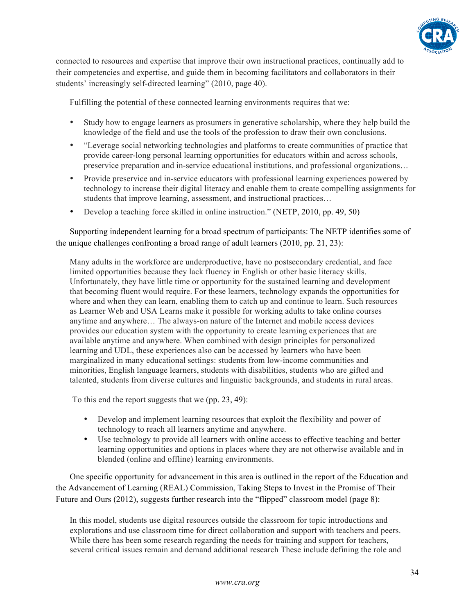

connected to resources and expertise that improve their own instructional practices, continually add to their competencies and expertise, and guide them in becoming facilitators and collaborators in their students' increasingly self-directed learning" (2010, page 40).

Fulfilling the potential of these connected learning environments requires that we:

- Study how to engage learners as prosumers in generative scholarship, where they help build the knowledge of the field and use the tools of the profession to draw their own conclusions.
- "Leverage social networking technologies and platforms to create communities of practice that provide career-long personal learning opportunities for educators within and across schools, preservice preparation and in-service educational institutions, and professional organizations…
- Provide preservice and in-service educators with professional learning experiences powered by technology to increase their digital literacy and enable them to create compelling assignments for students that improve learning, assessment, and instructional practices…
- Develop a teaching force skilled in online instruction." (NETP, 2010, pp. 49, 50)

Supporting independent learning for a broad spectrum of participants: The NETP identifies some of the unique challenges confronting a broad range of adult learners (2010, pp. 21, 23):

Many adults in the workforce are underproductive, have no postsecondary credential, and face limited opportunities because they lack fluency in English or other basic literacy skills. Unfortunately, they have little time or opportunity for the sustained learning and development that becoming fluent would require. For these learners, technology expands the opportunities for where and when they can learn, enabling them to catch up and continue to learn. Such resources as Learner Web and USA Learns make it possible for working adults to take online courses anytime and anywhere… The always-on nature of the Internet and mobile access devices provides our education system with the opportunity to create learning experiences that are available anytime and anywhere. When combined with design principles for personalized learning and UDL, these experiences also can be accessed by learners who have been marginalized in many educational settings: students from low-income communities and minorities, English language learners, students with disabilities, students who are gifted and talented, students from diverse cultures and linguistic backgrounds, and students in rural areas.

To this end the report suggests that we (pp. 23, 49):

- Develop and implement learning resources that exploit the flexibility and power of technology to reach all learners anytime and anywhere.
- Use technology to provide all learners with online access to effective teaching and better learning opportunities and options in places where they are not otherwise available and in blended (online and offline) learning environments.

One specific opportunity for advancement in this area is outlined in the report of the Education and the Advancement of Learning (REAL) Commission, Taking Steps to Invest in the Promise of Their Future and Ours (2012), suggests further research into the "flipped" classroom model (page 8):

In this model, students use digital resources outside the classroom for topic introductions and explorations and use classroom time for direct collaboration and support with teachers and peers. While there has been some research regarding the needs for training and support for teachers, several critical issues remain and demand additional research These include defining the role and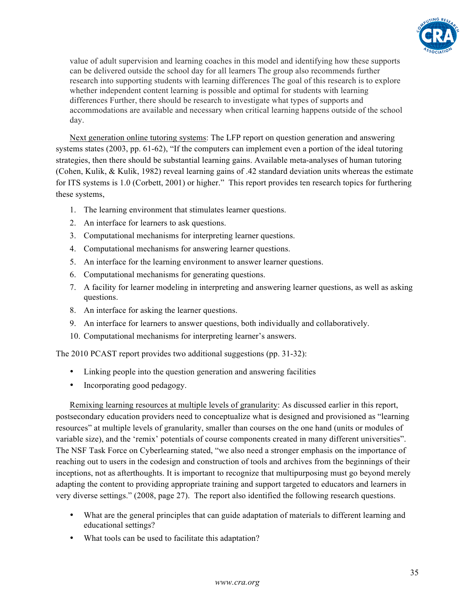

value of adult supervision and learning coaches in this model and identifying how these supports can be delivered outside the school day for all learners The group also recommends further research into supporting students with learning differences The goal of this research is to explore whether independent content learning is possible and optimal for students with learning differences Further, there should be research to investigate what types of supports and accommodations are available and necessary when critical learning happens outside of the school day.

Next generation online tutoring systems: The LFP report on question generation and answering systems states (2003, pp. 61-62), "If the computers can implement even a portion of the ideal tutoring strategies, then there should be substantial learning gains. Available meta-analyses of human tutoring (Cohen, Kulik, & Kulik, 1982) reveal learning gains of .42 standard deviation units whereas the estimate for ITS systems is 1.0 (Corbett, 2001) or higher." This report provides ten research topics for furthering these systems,

- 1. The learning environment that stimulates learner questions.
- 2. An interface for learners to ask questions.
- 3. Computational mechanisms for interpreting learner questions.
- 4. Computational mechanisms for answering learner questions.
- 5. An interface for the learning environment to answer learner questions.
- 6. Computational mechanisms for generating questions.
- 7. A facility for learner modeling in interpreting and answering learner questions, as well as asking questions.
- 8. An interface for asking the learner questions.
- 9. An interface for learners to answer questions, both individually and collaboratively.
- 10. Computational mechanisms for interpreting learner's answers.

The 2010 PCAST report provides two additional suggestions (pp. 31-32):

- Linking people into the question generation and answering facilities
- Incorporating good pedagogy.

Remixing learning resources at multiple levels of granularity: As discussed earlier in this report, postsecondary education providers need to conceptualize what is designed and provisioned as "learning resources" at multiple levels of granularity, smaller than courses on the one hand (units or modules of variable size), and the 'remix' potentials of course components created in many different universities". The NSF Task Force on Cyberlearning stated, "we also need a stronger emphasis on the importance of reaching out to users in the codesign and construction of tools and archives from the beginnings of their inceptions, not as afterthoughts. It is important to recognize that multipurposing must go beyond merely adapting the content to providing appropriate training and support targeted to educators and learners in very diverse settings." (2008, page 27). The report also identified the following research questions.

- What are the general principles that can guide adaptation of materials to different learning and educational settings?
- What tools can be used to facilitate this adaptation?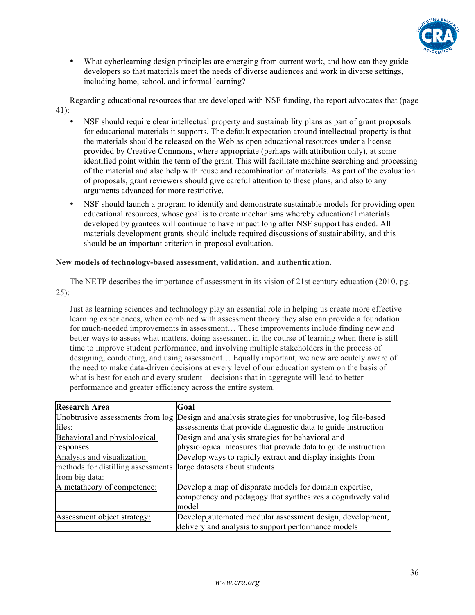

• What cyberlearning design principles are emerging from current work, and how can they guide developers so that materials meet the needs of diverse audiences and work in diverse settings, including home, school, and informal learning?

Regarding educational resources that are developed with NSF funding, the report advocates that (page 41):

- NSF should require clear intellectual property and sustainability plans as part of grant proposals for educational materials it supports. The default expectation around intellectual property is that the materials should be released on the Web as open educational resources under a license provided by Creative Commons, where appropriate (perhaps with attribution only), at some identified point within the term of the grant. This will facilitate machine searching and processing of the material and also help with reuse and recombination of materials. As part of the evaluation of proposals, grant reviewers should give careful attention to these plans, and also to any arguments advanced for more restrictive.
- NSF should launch a program to identify and demonstrate sustainable models for providing open educational resources, whose goal is to create mechanisms whereby educational materials developed by grantees will continue to have impact long after NSF support has ended. All materials development grants should include required discussions of sustainability, and this should be an important criterion in proposal evaluation.

#### **New models of technology-based assessment, validation, and authentication.**

The NETP describes the importance of assessment in its vision of 21st century education (2010, pg.  $25$ :

Just as learning sciences and technology play an essential role in helping us create more effective learning experiences, when combined with assessment theory they also can provide a foundation for much-needed improvements in assessment… These improvements include finding new and better ways to assess what matters, doing assessment in the course of learning when there is still time to improve student performance, and involving multiple stakeholders in the process of designing, conducting, and using assessment… Equally important, we now are acutely aware of the need to make data-driven decisions at every level of our education system on the basis of what is best for each and every student—decisions that in aggregate will lead to better performance and greater efficiency across the entire system.

| <b>Research Area</b>               | Goal                                                                                            |
|------------------------------------|-------------------------------------------------------------------------------------------------|
|                                    | Unobtrusive assessments from log Design and analysis strategies for unobtrusive, log file-based |
| files:                             | assessments that provide diagnostic data to guide instruction                                   |
| Behavioral and physiological       | Design and analysis strategies for behavioral and                                               |
| responses:                         | physiological measures that provide data to guide instruction                                   |
| Analysis and visualization         | Develop ways to rapidly extract and display insights from                                       |
| methods for distilling assessments | large datasets about students                                                                   |
| from big data:                     |                                                                                                 |
| A metatheory of competence:        | Develop a map of disparate models for domain expertise,                                         |
|                                    | competency and pedagogy that synthesizes a cognitively valid                                    |
|                                    | model                                                                                           |
| Assessment object strategy:        | Develop automated modular assessment design, development,                                       |
|                                    | delivery and analysis to support performance models                                             |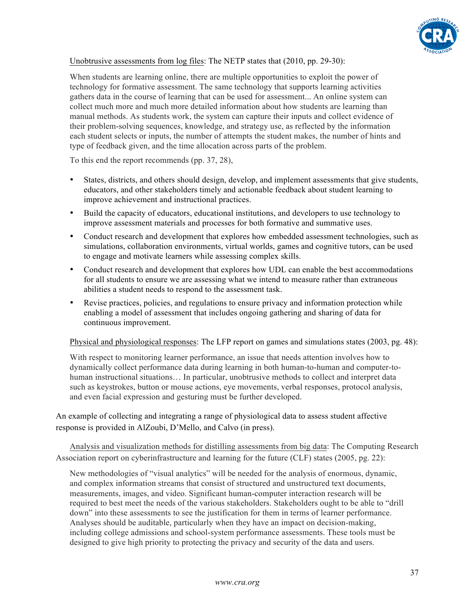

# Unobtrusive assessments from log files: The NETP states that (2010, pp. 29-30):

When students are learning online, there are multiple opportunities to exploit the power of technology for formative assessment. The same technology that supports learning activities gathers data in the course of learning that can be used for assessment... An online system can collect much more and much more detailed information about how students are learning than manual methods. As students work, the system can capture their inputs and collect evidence of their problem-solving sequences, knowledge, and strategy use, as reflected by the information each student selects or inputs, the number of attempts the student makes, the number of hints and type of feedback given, and the time allocation across parts of the problem.

To this end the report recommends (pp. 37, 28),

- States, districts, and others should design, develop, and implement assessments that give students, educators, and other stakeholders timely and actionable feedback about student learning to improve achievement and instructional practices.
- Build the capacity of educators, educational institutions, and developers to use technology to improve assessment materials and processes for both formative and summative uses.
- Conduct research and development that explores how embedded assessment technologies, such as simulations, collaboration environments, virtual worlds, games and cognitive tutors, can be used to engage and motivate learners while assessing complex skills.
- Conduct research and development that explores how UDL can enable the best accommodations for all students to ensure we are assessing what we intend to measure rather than extraneous abilities a student needs to respond to the assessment task.
- Revise practices, policies, and regulations to ensure privacy and information protection while enabling a model of assessment that includes ongoing gathering and sharing of data for continuous improvement.

Physical and physiological responses: The LFP report on games and simulations states (2003, pg. 48):

With respect to monitoring learner performance, an issue that needs attention involves how to dynamically collect performance data during learning in both human-to-human and computer-tohuman instructional situations… In particular, unobtrusive methods to collect and interpret data such as keystrokes, button or mouse actions, eye movements, verbal responses, protocol analysis, and even facial expression and gesturing must be further developed.

An example of collecting and integrating a range of physiological data to assess student affective response is provided in AlZoubi, D'Mello, and Calvo (in press).

Analysis and visualization methods for distilling assessments from big data: The Computing Research Association report on cyberinfrastructure and learning for the future (CLF) states (2005, pg. 22):

New methodologies of "visual analytics" will be needed for the analysis of enormous, dynamic, and complex information streams that consist of structured and unstructured text documents, measurements, images, and video. Significant human-computer interaction research will be required to best meet the needs of the various stakeholders. Stakeholders ought to be able to "drill down" into these assessments to see the justification for them in terms of learner performance. Analyses should be auditable, particularly when they have an impact on decision-making, including college admissions and school-system performance assessments. These tools must be designed to give high priority to protecting the privacy and security of the data and users.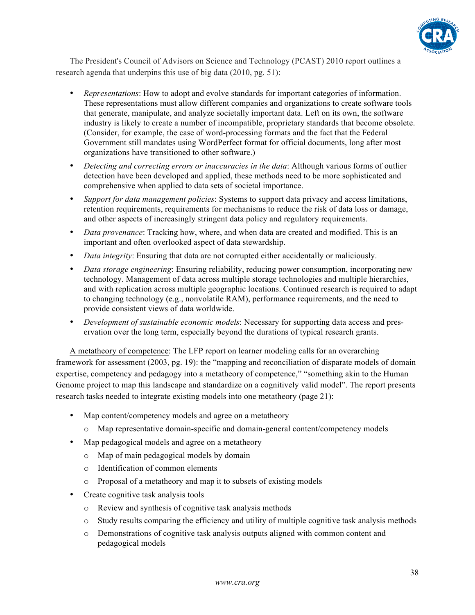

The President's Council of Advisors on Science and Technology (PCAST) 2010 report outlines a research agenda that underpins this use of big data (2010, pg. 51):

- *Representations*: How to adopt and evolve standards for important categories of information. These representations must allow different companies and organizations to create software tools that generate, manipulate, and analyze societally important data. Left on its own, the software industry is likely to create a number of incompatible, proprietary standards that become obsolete. (Consider, for example, the case of word-processing formats and the fact that the Federal Government still mandates using WordPerfect format for official documents, long after most organizations have transitioned to other software.)
- *Detecting and correcting errors or inaccuracies in the data*: Although various forms of outlier detection have been developed and applied, these methods need to be more sophisticated and comprehensive when applied to data sets of societal importance.
- *Support for data management policies*: Systems to support data privacy and access limitations, retention requirements, requirements for mechanisms to reduce the risk of data loss or damage, and other aspects of increasingly stringent data policy and regulatory requirements.
- *Data provenance*: Tracking how, where, and when data are created and modified. This is an important and often overlooked aspect of data stewardship.
- *Data integrity*: Ensuring that data are not corrupted either accidentally or maliciously.
- *Data storage engineering*: Ensuring reliability, reducing power consumption, incorporating new technology. Management of data across multiple storage technologies and multiple hierarchies, and with replication across multiple geographic locations. Continued research is required to adapt to changing technology (e.g., nonvolatile RAM), performance requirements, and the need to provide consistent views of data worldwide.
- *Development of sustainable economic models*: Necessary for supporting data access and preservation over the long term, especially beyond the durations of typical research grants.

A metatheory of competence: The LFP report on learner modeling calls for an overarching framework for assessment (2003, pg. 19): the "mapping and reconciliation of disparate models of domain expertise, competency and pedagogy into a metatheory of competence," "something akin to the Human Genome project to map this landscape and standardize on a cognitively valid model". The report presents research tasks needed to integrate existing models into one metatheory (page 21):

- Map content/competency models and agree on a metatheory
	- o Map representative domain-specific and domain-general content/competency models
- Map pedagogical models and agree on a metatheory
	- o Map of main pedagogical models by domain
	- o Identification of common elements
	- o Proposal of a metatheory and map it to subsets of existing models
- Create cognitive task analysis tools
	- o Review and synthesis of cognitive task analysis methods
	- o Study results comparing the efficiency and utility of multiple cognitive task analysis methods
	- o Demonstrations of cognitive task analysis outputs aligned with common content and pedagogical models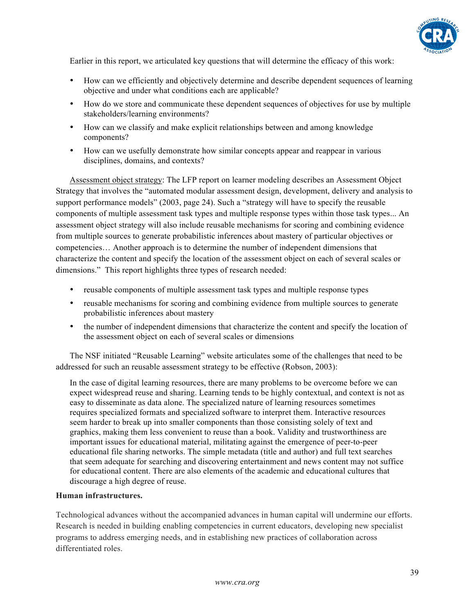

Earlier in this report, we articulated key questions that will determine the efficacy of this work:

- How can we efficiently and objectively determine and describe dependent sequences of learning objective and under what conditions each are applicable?
- How do we store and communicate these dependent sequences of objectives for use by multiple stakeholders/learning environments?
- How can we classify and make explicit relationships between and among knowledge components?
- How can we usefully demonstrate how similar concepts appear and reappear in various disciplines, domains, and contexts?

Assessment object strategy: The LFP report on learner modeling describes an Assessment Object Strategy that involves the "automated modular assessment design, development, delivery and analysis to support performance models" (2003, page 24). Such a "strategy will have to specify the reusable components of multiple assessment task types and multiple response types within those task types... An assessment object strategy will also include reusable mechanisms for scoring and combining evidence from multiple sources to generate probabilistic inferences about mastery of particular objectives or competencies… Another approach is to determine the number of independent dimensions that characterize the content and specify the location of the assessment object on each of several scales or dimensions." This report highlights three types of research needed:

- reusable components of multiple assessment task types and multiple response types
- reusable mechanisms for scoring and combining evidence from multiple sources to generate probabilistic inferences about mastery
- the number of independent dimensions that characterize the content and specify the location of the assessment object on each of several scales or dimensions

The NSF initiated "Reusable Learning" website articulates some of the challenges that need to be addressed for such an reusable assessment strategy to be effective (Robson, 2003):

In the case of digital learning resources, there are many problems to be overcome before we can expect widespread reuse and sharing. Learning tends to be highly contextual, and context is not as easy to disseminate as data alone. The specialized nature of learning resources sometimes requires specialized formats and specialized software to interpret them. Interactive resources seem harder to break up into smaller components than those consisting solely of text and graphics, making them less convenient to reuse than a book. Validity and trustworthiness are important issues for educational material, militating against the emergence of peer-to-peer educational file sharing networks. The simple metadata (title and author) and full text searches that seem adequate for searching and discovering entertainment and news content may not suffice for educational content. There are also elements of the academic and educational cultures that discourage a high degree of reuse.

#### **Human infrastructures.**

Technological advances without the accompanied advances in human capital will undermine our efforts. Research is needed in building enabling competencies in current educators, developing new specialist programs to address emerging needs, and in establishing new practices of collaboration across differentiated roles.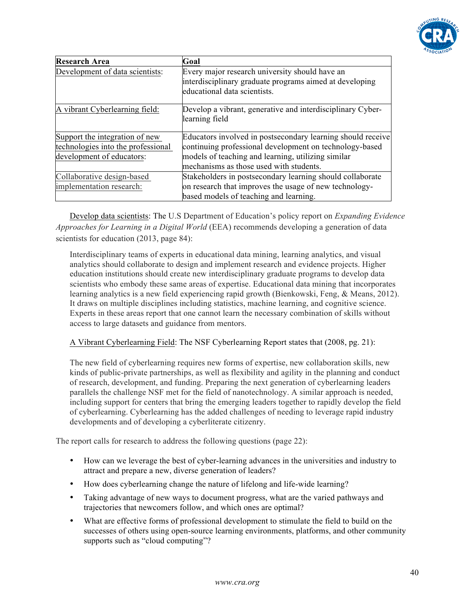

| <b>Research Area</b>               | Goal                                                                                                                                      |
|------------------------------------|-------------------------------------------------------------------------------------------------------------------------------------------|
| Development of data scientists:    | Every major research university should have an<br>interdisciplinary graduate programs aimed at developing<br>educational data scientists. |
| A vibrant Cyberlearning field:     | Develop a vibrant, generative and interdisciplinary Cyber-<br>learning field                                                              |
| Support the integration of new     | Educators involved in postsecondary learning should receive                                                                               |
| technologies into the professional | continuing professional development on technology-based                                                                                   |
| development of educators:          | models of teaching and learning, utilizing similar                                                                                        |
|                                    | mechanisms as those used with students.                                                                                                   |
| Collaborative design-based         | Stakeholders in postsecondary learning should collaborate                                                                                 |
| implementation research:           | on research that improves the usage of new technology-                                                                                    |
|                                    | based models of teaching and learning.                                                                                                    |

Develop data scientists: The U.S Department of Education's policy report on *Expanding Evidence Approaches for Learning in a Digital World* (EEA) recommends developing a generation of data scientists for education (2013, page 84):

Interdisciplinary teams of experts in educational data mining, learning analytics, and visual analytics should collaborate to design and implement research and evidence projects. Higher education institutions should create new interdisciplinary graduate programs to develop data scientists who embody these same areas of expertise. Educational data mining that incorporates learning analytics is a new field experiencing rapid growth (Bienkowski, Feng, & Means, 2012). It draws on multiple disciplines including statistics, machine learning, and cognitive science. Experts in these areas report that one cannot learn the necessary combination of skills without access to large datasets and guidance from mentors.

# A Vibrant Cyberlearning Field: The NSF Cyberlearning Report states that (2008, pg. 21):

The new field of cyberlearning requires new forms of expertise, new collaboration skills, new kinds of public-private partnerships, as well as flexibility and agility in the planning and conduct of research, development, and funding. Preparing the next generation of cyberlearning leaders parallels the challenge NSF met for the field of nanotechnology. A similar approach is needed, including support for centers that bring the emerging leaders together to rapidly develop the field of cyberlearning. Cyberlearning has the added challenges of needing to leverage rapid industry developments and of developing a cyberliterate citizenry.

The report calls for research to address the following questions (page 22):

- How can we leverage the best of cyber-learning advances in the universities and industry to attract and prepare a new, diverse generation of leaders?
- How does cyberlearning change the nature of lifelong and life-wide learning?
- Taking advantage of new ways to document progress, what are the varied pathways and trajectories that newcomers follow, and which ones are optimal?
- What are effective forms of professional development to stimulate the field to build on the successes of others using open-source learning environments, platforms, and other community supports such as "cloud computing"?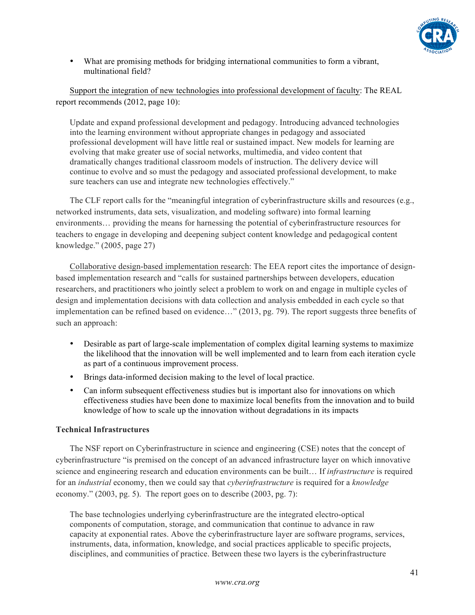

• What are promising methods for bridging international communities to form a vibrant, multinational field?

Support the integration of new technologies into professional development of faculty: The REAL report recommends (2012, page 10):

Update and expand professional development and pedagogy. Introducing advanced technologies into the learning environment without appropriate changes in pedagogy and associated professional development will have little real or sustained impact. New models for learning are evolving that make greater use of social networks, multimedia, and video content that dramatically changes traditional classroom models of instruction. The delivery device will continue to evolve and so must the pedagogy and associated professional development, to make sure teachers can use and integrate new technologies effectively."

The CLF report calls for the "meaningful integration of cyberinfrastructure skills and resources (e.g., networked instruments, data sets, visualization, and modeling software) into formal learning environments… providing the means for harnessing the potential of cyberinfrastructure resources for teachers to engage in developing and deepening subject content knowledge and pedagogical content knowledge." (2005, page 27)

Collaborative design-based implementation research: The EEA report cites the importance of designbased implementation research and "calls for sustained partnerships between developers, education researchers, and practitioners who jointly select a problem to work on and engage in multiple cycles of design and implementation decisions with data collection and analysis embedded in each cycle so that implementation can be refined based on evidence…" (2013, pg. 79). The report suggests three benefits of such an approach:

- Desirable as part of large-scale implementation of complex digital learning systems to maximize the likelihood that the innovation will be well implemented and to learn from each iteration cycle as part of a continuous improvement process.
- Brings data-informed decision making to the level of local practice.
- Can inform subsequent effectiveness studies but is important also for innovations on which effectiveness studies have been done to maximize local benefits from the innovation and to build knowledge of how to scale up the innovation without degradations in its impacts

# **Technical Infrastructures**

The NSF report on Cyberinfrastructure in science and engineering (CSE) notes that the concept of cyberinfrastructure "is premised on the concept of an advanced infrastructure layer on which innovative science and engineering research and education environments can be built… If *infrastructure* is required for an *industrial* economy, then we could say that *cyberinfrastructure* is required for a *knowledge*  economy." (2003, pg. 5). The report goes on to describe (2003, pg. 7):

The base technologies underlying cyberinfrastructure are the integrated electro-optical components of computation, storage, and communication that continue to advance in raw capacity at exponential rates. Above the cyberinfrastructure layer are software programs, services, instruments, data, information, knowledge, and social practices applicable to specific projects, disciplines, and communities of practice. Between these two layers is the cyberinfrastructure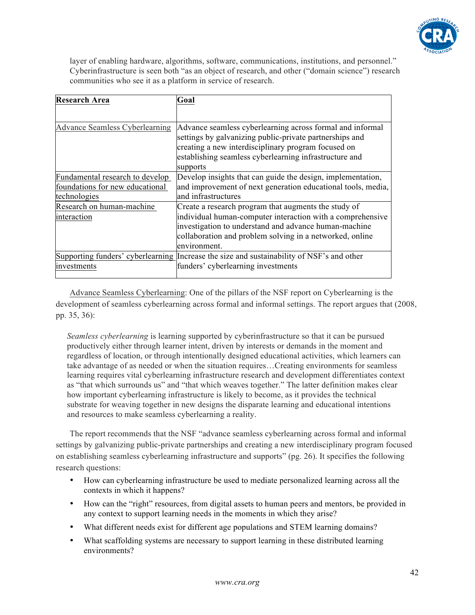

layer of enabling hardware, algorithms, software, communications, institutions, and personnel." Cyberinfrastructure is seen both "as an object of research, and other ("domain science") research communities who see it as a platform in service of research.

| <b>Research Area</b>                  | Goal                                                                                                                                                                                                                                              |
|---------------------------------------|---------------------------------------------------------------------------------------------------------------------------------------------------------------------------------------------------------------------------------------------------|
|                                       |                                                                                                                                                                                                                                                   |
| <b>Advance Seamless Cyberlearning</b> | Advance seamless cyberlearning across formal and informal<br>settings by galvanizing public-private partnerships and<br>creating a new interdisciplinary program focused on<br>establishing seamless cyberlearning infrastructure and<br>supports |
| Fundamental research to develop       | Develop insights that can guide the design, implementation,                                                                                                                                                                                       |
| foundations for new educational       | and improvement of next generation educational tools, media,                                                                                                                                                                                      |
| technologies                          | and infrastructures                                                                                                                                                                                                                               |
| Research on human-machine             | Create a research program that augments the study of                                                                                                                                                                                              |
| interaction                           | individual human-computer interaction with a comprehensive<br>investigation to understand and advance human-machine<br>collaboration and problem solving in a networked, online                                                                   |
|                                       | environment.                                                                                                                                                                                                                                      |
|                                       | Supporting funders' cyberlearning Increase the size and sustainability of NSF's and other                                                                                                                                                         |
| investments                           | funders' cyberlearning investments                                                                                                                                                                                                                |

Advance Seamless Cyberlearning: One of the pillars of the NSF report on Cyberlearning is the development of seamless cyberlearning across formal and informal settings. The report argues that (2008, pp. 35, 36):

*Seamless cyberlearning* is learning supported by cyberinfrastructure so that it can be pursued productively either through learner intent, driven by interests or demands in the moment and regardless of location, or through intentionally designed educational activities, which learners can take advantage of as needed or when the situation requires…Creating environments for seamless learning requires vital cyberlearning infrastructure research and development differentiates context as "that which surrounds us" and "that which weaves together." The latter definition makes clear how important cyberlearning infrastructure is likely to become, as it provides the technical substrate for weaving together in new designs the disparate learning and educational intentions and resources to make seamless cyberlearning a reality.

The report recommends that the NSF "advance seamless cyberlearning across formal and informal settings by galvanizing public-private partnerships and creating a new interdisciplinary program focused on establishing seamless cyberlearning infrastructure and supports" (pg. 26). It specifies the following research questions:

- How can cyberlearning infrastructure be used to mediate personalized learning across all the contexts in which it happens?
- How can the "right" resources, from digital assets to human peers and mentors, be provided in any context to support learning needs in the moments in which they arise?
- What different needs exist for different age populations and STEM learning domains?
- What scaffolding systems are necessary to support learning in these distributed learning environments?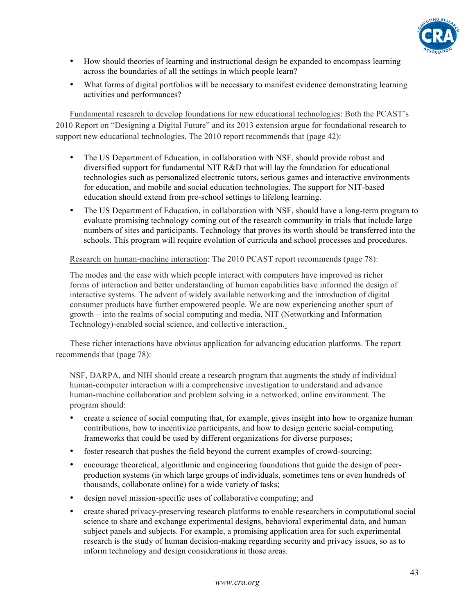

- How should theories of learning and instructional design be expanded to encompass learning across the boundaries of all the settings in which people learn?
- What forms of digital portfolios will be necessary to manifest evidence demonstrating learning activities and performances?

Fundamental research to develop foundations for new educational technologies: Both the PCAST's 2010 Report on "Designing a Digital Future" and its 2013 extension argue for foundational research to support new educational technologies. The 2010 report recommends that (page 42):

- The US Department of Education, in collaboration with NSF, should provide robust and diversified support for fundamental NIT R&D that will lay the foundation for educational technologies such as personalized electronic tutors, serious games and interactive environments for education, and mobile and social education technologies. The support for NIT-based education should extend from pre-school settings to lifelong learning.
- The US Department of Education, in collaboration with NSF, should have a long-term program to evaluate promising technology coming out of the research community in trials that include large numbers of sites and participants. Technology that proves its worth should be transferred into the schools. This program will require evolution of curricula and school processes and procedures.

Research on human-machine interaction: The 2010 PCAST report recommends (page 78):

The modes and the ease with which people interact with computers have improved as richer forms of interaction and better understanding of human capabilities have informed the design of interactive systems. The advent of widely available networking and the introduction of digital consumer products have further empowered people. We are now experiencing another spurt of growth – into the realms of social computing and media, NIT (Networking and Information Technology)-enabled social science, and collective interaction.

These richer interactions have obvious application for advancing education platforms. The report recommends that (page 78):

NSF, DARPA, and NIH should create a research program that augments the study of individual human-computer interaction with a comprehensive investigation to understand and advance human-machine collaboration and problem solving in a networked, online environment. The program should:

- create a science of social computing that, for example, gives insight into how to organize human contributions, how to incentivize participants, and how to design generic social-computing frameworks that could be used by different organizations for diverse purposes;
- foster research that pushes the field beyond the current examples of crowd-sourcing;
- encourage theoretical, algorithmic and engineering foundations that guide the design of peerproduction systems (in which large groups of individuals, sometimes tens or even hundreds of thousands, collaborate online) for a wide variety of tasks;
- design novel mission-specific uses of collaborative computing; and
- create shared privacy-preserving research platforms to enable researchers in computational social science to share and exchange experimental designs, behavioral experimental data, and human subject panels and subjects. For example, a promising application area for such experimental research is the study of human decision-making regarding security and privacy issues, so as to inform technology and design considerations in those areas.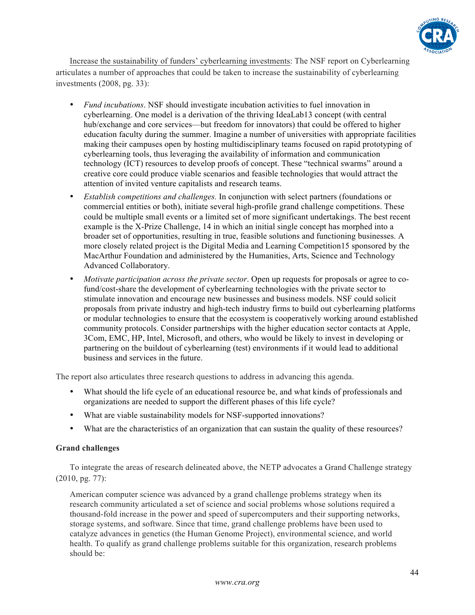

Increase the sustainability of funders' cyberlearning investments: The NSF report on Cyberlearning articulates a number of approaches that could be taken to increase the sustainability of cyberlearning investments (2008, pg. 33):

- *Fund incubations*. NSF should investigate incubation activities to fuel innovation in cyberlearning. One model is a derivation of the thriving IdeaLab13 concept (with central hub/exchange and core services—but freedom for innovators) that could be offered to higher education faculty during the summer. Imagine a number of universities with appropriate facilities making their campuses open by hosting multidisciplinary teams focused on rapid prototyping of cyberlearning tools, thus leveraging the availability of information and communication technology (ICT) resources to develop proofs of concept. These "technical swarms" around a creative core could produce viable scenarios and feasible technologies that would attract the attention of invited venture capitalists and research teams.
- *Establish competitions and challenges.* In conjunction with select partners (foundations or commercial entities or both), initiate several high-profile grand challenge competitions. These could be multiple small events or a limited set of more significant undertakings. The best recent example is the X-Prize Challenge, 14 in which an initial single concept has morphed into a broader set of opportunities, resulting in true, feasible solutions and functioning businesses. A more closely related project is the Digital Media and Learning Competition15 sponsored by the MacArthur Foundation and administered by the Humanities, Arts, Science and Technology Advanced Collaboratory.
- *Motivate participation across the private sector*. Open up requests for proposals or agree to cofund/cost-share the development of cyberlearning technologies with the private sector to stimulate innovation and encourage new businesses and business models. NSF could solicit proposals from private industry and high-tech industry firms to build out cyberlearning platforms or modular technologies to ensure that the ecosystem is cooperatively working around established community protocols. Consider partnerships with the higher education sector contacts at Apple, 3Com, EMC, HP, Intel, Microsoft, and others, who would be likely to invest in developing or partnering on the buildout of cyberlearning (test) environments if it would lead to additional business and services in the future.

The report also articulates three research questions to address in advancing this agenda.

- What should the life cycle of an educational resource be, and what kinds of professionals and organizations are needed to support the different phases of this life cycle?
- What are viable sustainability models for NSF-supported innovations?
- What are the characteristics of an organization that can sustain the quality of these resources?

#### **Grand challenges**

To integrate the areas of research delineated above, the NETP advocates a Grand Challenge strategy (2010, pg. 77):

American computer science was advanced by a grand challenge problems strategy when its research community articulated a set of science and social problems whose solutions required a thousand-fold increase in the power and speed of supercomputers and their supporting networks, storage systems, and software. Since that time, grand challenge problems have been used to catalyze advances in genetics (the Human Genome Project), environmental science, and world health. To qualify as grand challenge problems suitable for this organization, research problems should be: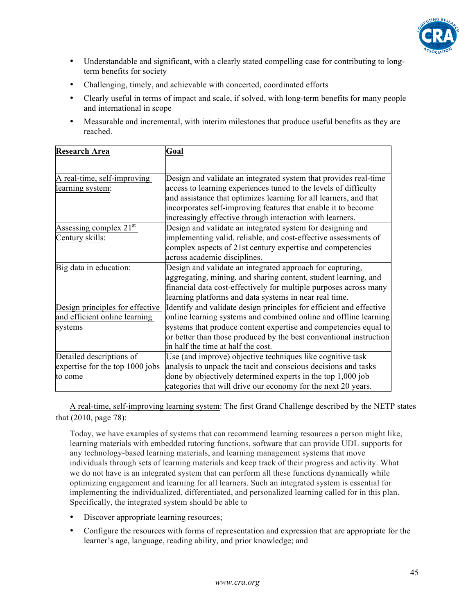

- Understandable and significant, with a clearly stated compelling case for contributing to longterm benefits for society
- Challenging, timely, and achievable with concerted, coordinated efforts
- Clearly useful in terms of impact and scale, if solved, with long-term benefits for many people and international in scope
- Measurable and incremental, with interim milestones that produce useful benefits as they are reached.

| <b>Research Area</b>            | Goal                                                                |
|---------------------------------|---------------------------------------------------------------------|
|                                 |                                                                     |
| A real-time, self-improving     | Design and validate an integrated system that provides real-time    |
| learning system:                | access to learning experiences tuned to the levels of difficulty    |
|                                 | and assistance that optimizes learning for all learners, and that   |
|                                 | incorporates self-improving features that enable it to become       |
|                                 | increasingly effective through interaction with learners.           |
| Assessing complex $21st$        | Design and validate an integrated system for designing and          |
| Century skills:                 | implementing valid, reliable, and cost-effective assessments of     |
|                                 | complex aspects of 21st century expertise and competencies          |
|                                 | across academic disciplines.                                        |
| Big data in education:          | Design and validate an integrated approach for capturing,           |
|                                 | aggregating, mining, and sharing content, student learning, and     |
|                                 | financial data cost-effectively for multiple purposes across many   |
|                                 | learning platforms and data systems in near real time.              |
| Design principles for effective | Identify and validate design principles for efficient and effective |
| and efficient online learning   | online learning systems and combined online and offline learning    |
| systems                         | systems that produce content expertise and competencies equal to    |
|                                 | or better than those produced by the best conventional instruction  |
|                                 | in half the time at half the cost.                                  |
| Detailed descriptions of        | Use (and improve) objective techniques like cognitive task          |
| expertise for the top 1000 jobs | analysis to unpack the tacit and conscious decisions and tasks      |
| to come                         | done by objectively determined experts in the top 1,000 job         |
|                                 | categories that will drive our economy for the next 20 years.       |

A real-time, self-improving learning system: The first Grand Challenge described by the NETP states that (2010, page 78):

Today, we have examples of systems that can recommend learning resources a person might like, learning materials with embedded tutoring functions, software that can provide UDL supports for any technology-based learning materials, and learning management systems that move individuals through sets of learning materials and keep track of their progress and activity. What we do not have is an integrated system that can perform all these functions dynamically while optimizing engagement and learning for all learners. Such an integrated system is essential for implementing the individualized, differentiated, and personalized learning called for in this plan. Specifically, the integrated system should be able to

- Discover appropriate learning resources;
- Configure the resources with forms of representation and expression that are appropriate for the learner's age, language, reading ability, and prior knowledge; and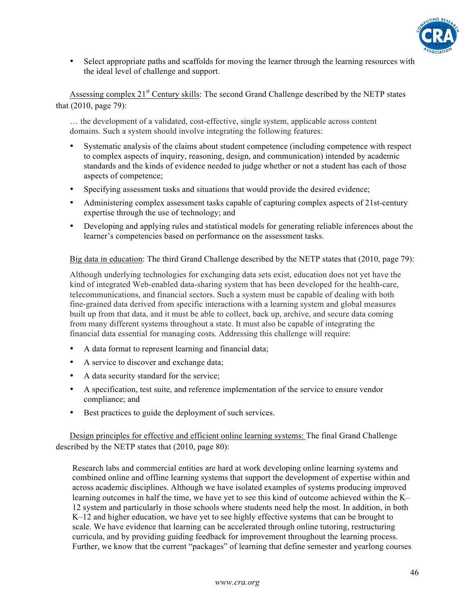

• Select appropriate paths and scaffolds for moving the learner through the learning resources with the ideal level of challenge and support.

Assessing complex 21<sup>st</sup> Century skills: The second Grand Challenge described by the NETP states that (2010, page 79):

… the development of a validated, cost-effective, single system, applicable across content domains. Such a system should involve integrating the following features:

- Systematic analysis of the claims about student competence (including competence with respect to complex aspects of inquiry, reasoning, design, and communication) intended by academic standards and the kinds of evidence needed to judge whether or not a student has each of those aspects of competence;
- Specifying assessment tasks and situations that would provide the desired evidence;
- Administering complex assessment tasks capable of capturing complex aspects of 21st-century expertise through the use of technology; and
- Developing and applying rules and statistical models for generating reliable inferences about the learner's competencies based on performance on the assessment tasks.

Big data in education: The third Grand Challenge described by the NETP states that (2010, page 79):

Although underlying technologies for exchanging data sets exist, education does not yet have the kind of integrated Web-enabled data-sharing system that has been developed for the health-care, telecommunications, and financial sectors. Such a system must be capable of dealing with both fine-grained data derived from specific interactions with a learning system and global measures built up from that data, and it must be able to collect, back up, archive, and secure data coming from many different systems throughout a state. It must also be capable of integrating the financial data essential for managing costs. Addressing this challenge will require:

- A data format to represent learning and financial data;
- A service to discover and exchange data;
- A data security standard for the service;
- A specification, test suite, and reference implementation of the service to ensure vendor compliance; and
- Best practices to guide the deployment of such services.

Design principles for effective and efficient online learning systems: The final Grand Challenge described by the NETP states that (2010, page 80):

Research labs and commercial entities are hard at work developing online learning systems and combined online and offline learning systems that support the development of expertise within and across academic disciplines. Although we have isolated examples of systems producing improved learning outcomes in half the time, we have yet to see this kind of outcome achieved within the K– 12 system and particularly in those schools where students need help the most. In addition, in both K–12 and higher education, we have yet to see highly effective systems that can be brought to scale. We have evidence that learning can be accelerated through online tutoring, restructuring curricula, and by providing guiding feedback for improvement throughout the learning process. Further, we know that the current "packages" of learning that define semester and yearlong courses